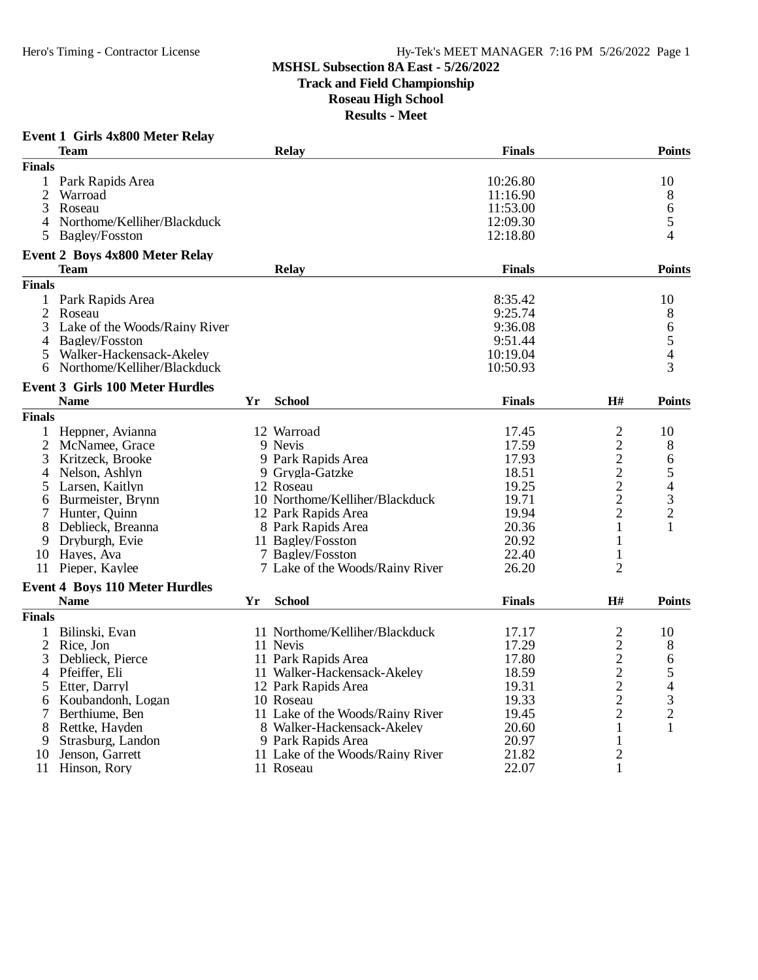**Track and Field Championship**

### **Roseau High School**

**Results - Meet**

|                | <b>Event 1 Girls 4x800 Meter Relay</b><br><b>Team</b> |    | Relay                            | <b>Finals</b> |                | <b>Points</b>            |
|----------------|-------------------------------------------------------|----|----------------------------------|---------------|----------------|--------------------------|
| <b>Finals</b>  |                                                       |    |                                  |               |                |                          |
|                | 1 Park Rapids Area                                    |    |                                  | 10:26.80      |                | 10                       |
| $\overline{c}$ | Warroad                                               |    |                                  | 11:16.90      |                | 8                        |
| 3              | Roseau                                                |    |                                  | 11:53.00      |                | 6                        |
|                | 4 Northome/Kelliher/Blackduck                         |    |                                  | 12:09.30      |                | 5                        |
| 5              | <b>Bagley/Fosston</b>                                 |    |                                  | 12:18.80      |                | 4                        |
|                |                                                       |    |                                  |               |                |                          |
|                | <b>Event 2 Boys 4x800 Meter Relay</b><br><b>Team</b>  |    | Relay                            | <b>Finals</b> |                | Points                   |
| <b>Finals</b>  |                                                       |    |                                  |               |                |                          |
|                | 1 Park Rapids Area                                    |    |                                  | 8:35.42       |                | 10                       |
| 2              | Roseau                                                |    |                                  | 9:25.74       |                | 8                        |
| 3              | Lake of the Woods/Rainy River                         |    |                                  | 9:36.08       |                | 6                        |
| 4              | <b>Bagley/Fosston</b>                                 |    |                                  | 9:51.44       |                | 5                        |
| 5              | Walker-Hackensack-Akeley                              |    |                                  | 10:19.04      |                | $\overline{\mathcal{L}}$ |
|                | 6 Northome/Kelliher/Blackduck                         |    |                                  | 10:50.93      |                | 3                        |
|                |                                                       |    |                                  |               |                |                          |
|                | <b>Event 3 Girls 100 Meter Hurdles</b><br><b>Name</b> | Yr | <b>School</b>                    | <b>Finals</b> | H#             | Points                   |
| <b>Finals</b>  |                                                       |    |                                  |               |                |                          |
|                |                                                       |    |                                  |               |                |                          |
|                | 1 Heppner, Avianna                                    |    | 12 Warroad                       | 17.45         | 2              | 10                       |
| $\overline{2}$ | McNamee, Grace                                        |    | 9 Nevis                          | 17.59         | $\overline{c}$ | 8                        |
| 3              | Kritzeck, Brooke                                      |    | 9 Park Rapids Area               | 17.93         | $\overline{c}$ | 6                        |
| 4              | Nelson, Ashlyn                                        |    | 9 Grygla-Gatzke                  | 18.51         | $\overline{c}$ | 5                        |
| 5              | Larsen, Kaitlyn                                       |    | 12 Roseau                        | 19.25         | $\overline{c}$ | $\overline{4}$           |
| 6              | Burmeister, Brynn                                     |    | 10 Northome/Kelliher/Blackduck   | 19.71         | $\overline{c}$ | $\mathfrak{Z}$           |
| 7              | Hunter, Quinn                                         |    | 12 Park Rapids Area              | 19.94         | $\overline{2}$ | $\sqrt{2}$               |
| 8              | Deblieck, Breanna                                     |    | 8 Park Rapids Area               | 20.36         | $\mathbf{1}$   | 1                        |
| 9              | Dryburgh, Evie                                        |    | 11 Bagley/Fosston                | 20.92         | 1              |                          |
|                | 10 Hayes, Ava                                         |    | 7 Bagley/Fosston                 | 22.40         | $\mathbf{1}$   |                          |
|                | 11 Pieper, Kaylee                                     |    | 7 Lake of the Woods/Rainy River  | 26.20         | $\overline{2}$ |                          |
|                | <b>Event 4 Boys 110 Meter Hurdles</b>                 |    |                                  |               |                |                          |
|                | <b>Name</b>                                           | Yr | <b>School</b>                    | <b>Finals</b> | H#             | <b>Points</b>            |
| <b>Finals</b>  |                                                       |    |                                  |               |                |                          |
| $\mathbf{1}$   | Bilinski, Evan                                        |    | 11 Northome/Kelliher/Blackduck   | 17.17         | 2              | 10                       |
| $\overline{2}$ | Rice, Jon                                             |    | 11 Nevis                         | 17.29         | $\overline{2}$ | 8                        |
| 3              | Deblieck, Pierce                                      |    | 11 Park Rapids Area              | 17.80         | $\overline{c}$ | $\sqrt{6}$               |
| 4              | Pfeiffer, Eli                                         |    | 11 Walker-Hackensack-Akeley      | 18.59         | $\overline{c}$ | 5                        |
| 5              | Etter, Darryl                                         |    | 12 Park Rapids Area              | 19.31         | $\overline{2}$ | $\overline{4}$           |
| 6              | Koubandonh, Logan                                     |    | 10 Roseau                        | 19.33         | $\mathbf{2}$   | $\mathfrak{Z}$           |
| 7              | Berthiume, Ben                                        |    | 11 Lake of the Woods/Rainy River | 19.45         | $\overline{2}$ | $\overline{c}$           |
| 8              | Rettke, Hayden                                        |    | 8 Walker-Hackensack-Akeley       | 20.60         | $\mathbf{1}$   | $\mathbf{1}$             |
| 9              | Strasburg, Landon                                     |    | 9 Park Rapids Area               | 20.97         | 1              |                          |
| 10             | Jenson, Garrett                                       |    | 11 Lake of the Woods/Rainy River | 21.82         | $\overline{2}$ |                          |

11 Hinson, Rory 11 Roseau 22.07 1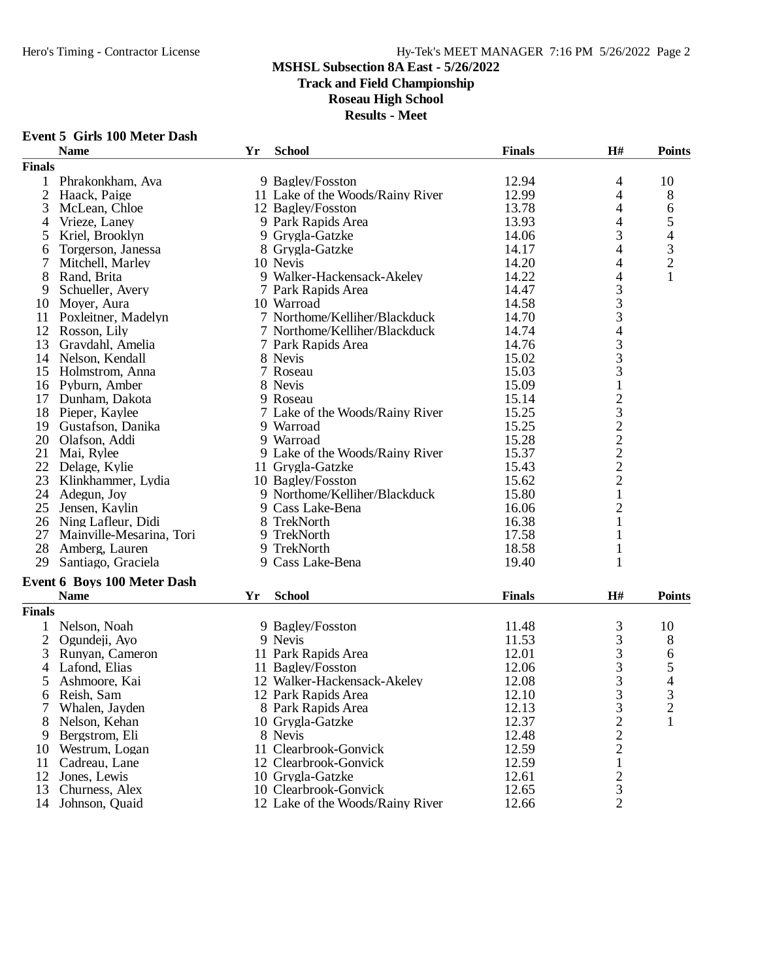## Hero's Timing - Contractor License Hy-Tek's MEET MANAGER 7:16 PM 5/26/2022 Page 2

#### **MSHSL Subsection 8A East - 5/26/2022**

**Track and Field Championship**

### **Roseau High School**

| <b>Event 5 Girls 100 Meter Dash</b> |    |                                  |               |                                            |                          |
|-------------------------------------|----|----------------------------------|---------------|--------------------------------------------|--------------------------|
| <b>Name</b>                         | Yr | <b>School</b>                    | <b>Finals</b> | H#                                         | <b>Points</b>            |
| <b>Finals</b>                       |    |                                  |               |                                            |                          |
| 1<br>Phrakonkham, Ava               |    | 9 Bagley/Fosston                 | 12.94         | 4                                          | 10                       |
| 2<br>Haack, Paige                   |    | 11 Lake of the Woods/Rainy River | 12.99         | 4                                          | 8                        |
| 3<br>McLean, Chloe                  |    | 12 Bagley/Fosston                | 13.78         | 4                                          | 6                        |
| Vrieze, Laney<br>4                  |    | 9 Park Rapids Area               | 13.93         | 4                                          | 5                        |
| Kriel, Brooklyn<br>5                |    | 9 Grygla-Gatzke                  | 14.06         | 3                                          | 4                        |
| Torgerson, Janessa<br>6             |    | 8 Grygla-Gatzke                  | 14.17         | 4                                          | 3                        |
| 7<br>Mitchell, Marley               |    | 10 Nevis                         | 14.20         | $\overline{\mathcal{A}}$                   | $\overline{c}$           |
| 8<br>Rand, Brita                    |    | 9 Walker-Hackensack-Akeley       | 14.22         | 4                                          |                          |
| 9<br>Schueller, Avery               |    | 7 Park Rapids Area               | 14.47         |                                            |                          |
| Moyer, Aura<br>10                   |    | 10 Warroad                       | 14.58         | $\begin{array}{c} 3 \\ 3 \\ 3 \end{array}$ |                          |
| Poxleitner, Madelyn<br>11           |    | 7 Northome/Kelliher/Blackduck    | 14.70         |                                            |                          |
| 12<br>Rosson, Lily                  |    | 7 Northome/Kelliher/Blackduck    | 14.74         | $\overline{4}$                             |                          |
| 13<br>Gravdahl, Amelia              |    | 7 Park Rapids Area               | 14.76         |                                            |                          |
| Nelson, Kendall<br>14               |    | 8 Nevis                          | 15.02         | $\frac{3}{3}$                              |                          |
| 15 Holmstrom, Anna                  |    | 7 Roseau                         | 15.03         | 3                                          |                          |
| 16 Pyburn, Amber                    |    | 8 Nevis                          | 15.09         | $\mathbf{1}$                               |                          |
| Dunham, Dakota<br>17                |    | 9 Roseau                         | 15.14         |                                            |                          |
| 18<br>Pieper, Kaylee                |    | 7 Lake of the Woods/Rainy River  | 15.25         |                                            |                          |
| Gustafson, Danika<br>19             |    | 9 Warroad                        | 15.25         | 232222                                     |                          |
| 20 Olafson, Addi                    |    | 9 Warroad                        | 15.28         |                                            |                          |
| 21<br>Mai, Rylee                    |    | 9 Lake of the Woods/Rainy River  | 15.37         |                                            |                          |
| 22 Delage, Kylie                    |    | 11 Grygla-Gatzke                 | 15.43         |                                            |                          |
| 23<br>Klinkhammer, Lydia            |    | 10 Bagley/Fosston                | 15.62         |                                            |                          |
| 24<br>Adegun, Joy                   |    | 9 Northome/Kelliher/Blackduck    | 15.80         | $\mathbf{1}$                               |                          |
| 25<br>Jensen, Kaylin                |    | 9 Cass Lake-Bena                 | 16.06         | $\overline{c}$                             |                          |
| 26 Ning Lafleur, Didi               |    | 8 TrekNorth                      | 16.38         | $\mathbf{1}$                               |                          |
| 27<br>Mainville-Mesarina, Tori      |    | 9 TrekNorth                      | 17.58         | 1                                          |                          |
| 28<br>Amberg, Lauren                |    | 9 TrekNorth                      | 18.58         | 1                                          |                          |
| 29<br>Santiago, Graciela            |    | 9 Cass Lake-Bena                 | 19.40         | 1                                          |                          |
| <b>Event 6 Boys 100 Meter Dash</b>  |    |                                  |               |                                            |                          |
| <b>Name</b>                         | Yr | <b>School</b>                    | <b>Finals</b> | H#                                         | <b>Points</b>            |
| <b>Finals</b>                       |    |                                  |               |                                            |                          |
| $\mathbf{1}$<br>Nelson, Noah        |    | 9 Bagley/Fosston                 | 11.48         | 3                                          | 10                       |
| $\overline{2}$<br>Ogundeji, Ayo     |    | 9 Nevis                          | 11.53         | 3                                          | 8                        |
| 3<br>Runyan, Cameron                |    | 11 Park Rapids Area              | 12.01         |                                            | 6                        |
| Lafond, Elias<br>4                  |    | 11 Bagley/Fosston                | 12.06         | $\frac{3}{3}$                              | 5                        |
| 5<br>Ashmoore, Kai                  |    | 12 Walker-Hackensack-Akeley      | 12.08         | 3                                          | $\overline{\mathcal{A}}$ |
| Reish, Sam<br>6                     |    | 12 Park Rapids Area              | 12.10         | 3                                          | 3                        |
| 7<br>Whalen, Jayden                 |    | 8 Park Rapids Area               | 12.13         | 3                                          | 2                        |
| Nelson, Kehan<br>8                  |    | 10 Grygla-Gatzke                 | 12.37         | $\overline{c}$                             | 1                        |
| Bergstrom, Eli<br>9                 |    | 8 Nevis                          | 12.48         | $\overline{c}$                             |                          |
| Westrum, Logan<br>10                |    | 11 Clearbrook-Gonvick            | 12.59         | $\overline{2}$                             |                          |
| 11<br>Cadreau, Lane                 |    | 12 Clearbrook-Gonvick            | 12.59         | 1                                          |                          |
| 12<br>Jones, Lewis                  |    | 10 Grygla-Gatzke                 | 12.61         | 2                                          |                          |
| Churness, Alex<br>13                |    | 10 Clearbrook-Gonvick            | 12.65         | 3                                          |                          |
| 14 Johnson, Quaid                   |    | 12 Lake of the Woods/Rainy River | 12.66         | $\overline{2}$                             |                          |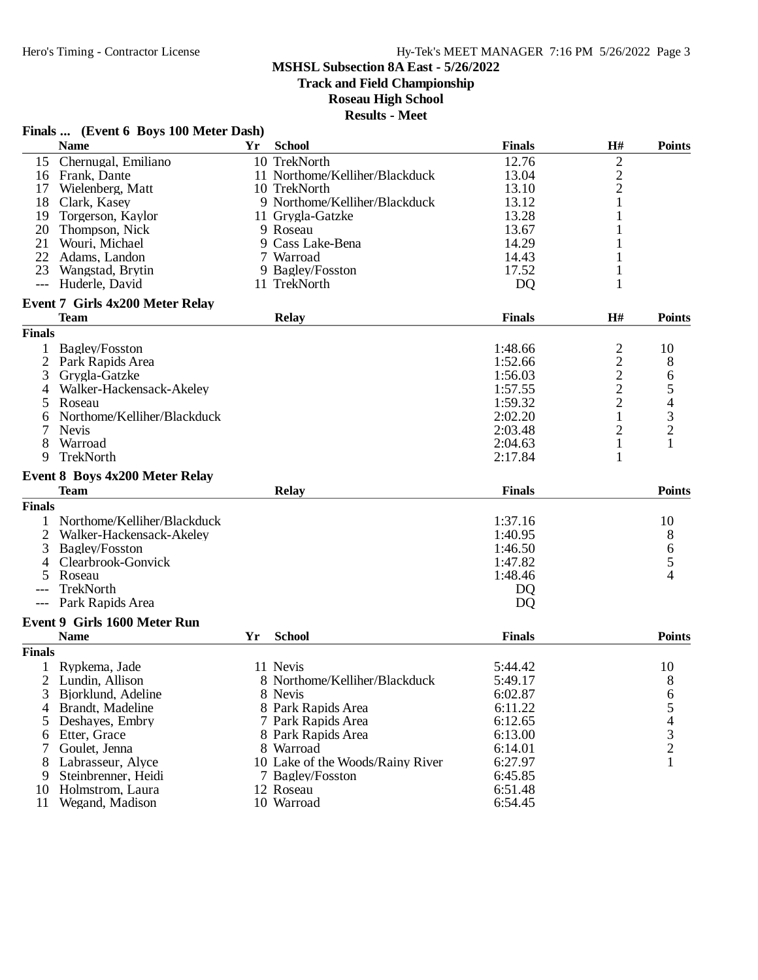**Track and Field Championship**

# **Roseau High School**

| Finals  (Event 6 Boys 100 Meter Dash) |  |  |  |  |  |
|---------------------------------------|--|--|--|--|--|
|---------------------------------------|--|--|--|--|--|

|               | <b>Name</b>                                          | Yr | <b>School</b>                    | <b>Finals</b> | H#             | <b>Points</b>  |
|---------------|------------------------------------------------------|----|----------------------------------|---------------|----------------|----------------|
| 15            | Chernugal, Emiliano                                  |    | 10 TrekNorth                     | 12.76         | $\overline{c}$ |                |
|               | 16 Frank, Dante                                      |    | 11 Northome/Kelliher/Blackduck   | 13.04         | $\overline{c}$ |                |
| 17            | Wielenberg, Matt                                     |    | 10 TrekNorth                     | 13.10         | $\overline{c}$ |                |
| 18            | Clark, Kasey                                         |    | 9 Northome/Kelliher/Blackduck    | 13.12         | 1              |                |
| 19            | Torgerson, Kaylor                                    |    | 11 Grygla-Gatzke                 | 13.28         |                |                |
| 20            | Thompson, Nick                                       |    | 9 Roseau                         | 13.67         |                |                |
| 21            | Wouri, Michael                                       |    | 9 Cass Lake-Bena                 | 14.29         |                |                |
| 22            | Adams, Landon                                        |    | 7 Warroad                        | 14.43         |                |                |
| 23            | Wangstad, Brytin                                     |    | 9 Bagley/Fosston                 | 17.52         | 1              |                |
| $---$         | Huderle, David                                       |    | 11 TrekNorth                     | <b>DQ</b>     | 1              |                |
|               |                                                      |    |                                  |               |                |                |
|               | <b>Event 7 Girls 4x200 Meter Relay</b>               |    |                                  | <b>Finals</b> | H#             | <b>Points</b>  |
|               | <b>Team</b>                                          |    | <b>Relay</b>                     |               |                |                |
| <b>Finals</b> |                                                      |    |                                  |               |                |                |
|               | Bagley/Fosston                                       |    |                                  | 1:48.66       | $\overline{c}$ | 10             |
| 2             | Park Rapids Area                                     |    |                                  | 1:52.66       | $\frac{2}{2}$  | 8              |
| 3             | Grygla-Gatzke                                        |    |                                  | 1:56.03       |                | 6              |
| 4             | Walker-Hackensack-Akeley                             |    |                                  | 1:57.55       | $\overline{c}$ | 5              |
| 5             | Roseau                                               |    |                                  | 1:59.32       | $\overline{2}$ | 4              |
| 6             | Northome/Kelliher/Blackduck                          |    |                                  | 2:02.20       | 1              | 3              |
|               | <b>Nevis</b>                                         |    |                                  | 2:03.48       | 2              | $\overline{c}$ |
| 8             | Warroad                                              |    |                                  | 2:04.63       | $\mathbf{1}$   |                |
| 9             | TrekNorth                                            |    |                                  | 2:17.84       | 1              |                |
|               |                                                      |    |                                  |               |                |                |
|               | <b>Event 8 Boys 4x200 Meter Relay</b><br><b>Team</b> |    |                                  |               |                | <b>Points</b>  |
|               |                                                      |    | <b>Relay</b>                     | <b>Finals</b> |                |                |
| <b>Finals</b> |                                                      |    |                                  |               |                |                |
|               | Northome/Kelliher/Blackduck                          |    |                                  | 1:37.16       |                | 10             |
| 2             | Walker-Hackensack-Akeley                             |    |                                  | 1:40.95       |                | 8              |
| 3             | <b>Bagley/Fosston</b>                                |    |                                  | 1:46.50       |                | 6              |
|               | Clearbrook-Gonvick                                   |    |                                  | 1:47.82       |                | 5              |
|               | Roseau                                               |    |                                  | 1:48.46       |                | 4              |
|               | TrekNorth                                            |    |                                  | DQ            |                |                |
|               | Park Rapids Area                                     |    |                                  | <b>DQ</b>     |                |                |
|               | Event 9 Girls 1600 Meter Run                         |    |                                  |               |                |                |
|               | <b>Name</b>                                          | Yr | <b>School</b>                    | <b>Finals</b> |                | <b>Points</b>  |
| <b>Finals</b> |                                                      |    |                                  |               |                |                |
|               | Rypkema, Jade                                        |    | 11 Nevis                         | 5:44.42       |                | 10             |
|               | Lundin, Allison                                      |    | 8 Northome/Kelliher/Blackduck    | 5:49.17       |                |                |
|               |                                                      |    |                                  |               |                | 8              |
|               | 3 Bjorklund, Adeline                                 |    | 8 Nevis                          | 6:02.87       |                | 6              |
| 4             | Brandt, Madeline                                     |    | 8 Park Rapids Area               | 6:11.22       |                | 5              |
| 5             | Deshayes, Embry                                      |    | 7 Park Rapids Area               | 6:12.65       |                | 4              |
| 6             | Etter, Grace                                         |    | 8 Park Rapids Area               | 6:13.00       |                | $\frac{3}{2}$  |
| 7             | Goulet, Jenna                                        |    | 8 Warroad                        | 6:14.01       |                |                |
|               | Labrasseur, Alyce                                    |    | 10 Lake of the Woods/Rainy River | 6:27.97       |                | $\mathbf{1}$   |
| 9             | Steinbrenner, Heidi                                  |    | 7 Bagley/Fosston                 | 6:45.85       |                |                |
| 10            | Holmstrom, Laura                                     |    | 12 Roseau                        | 6:51.48       |                |                |
| 11            | Wegand, Madison                                      |    | 10 Warroad                       | 6:54.45       |                |                |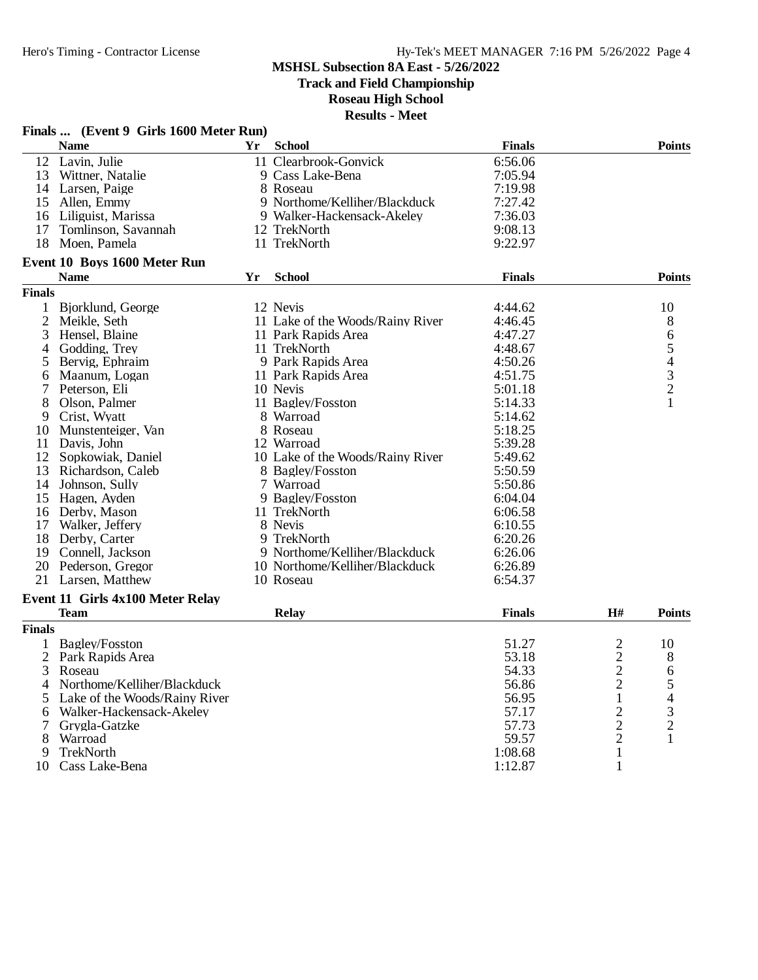**Track and Field Championship**

### **Roseau High School**

|                     | Finals  (Event 9 Girls 1600 Meter Run)  |    |                                  |               |                |                                                 |
|---------------------|-----------------------------------------|----|----------------------------------|---------------|----------------|-------------------------------------------------|
|                     | <b>Name</b>                             | Yr | <b>School</b>                    | <b>Finals</b> |                | <b>Points</b>                                   |
|                     | 12 Lavin, Julie                         |    | 11 Clearbrook-Gonvick            | 6:56.06       |                |                                                 |
|                     | 13 Wittner, Natalie                     |    | 9 Cass Lake-Bena                 | 7:05.94       |                |                                                 |
|                     | 14 Larsen, Paige                        |    | 8 Roseau                         | 7:19.98       |                |                                                 |
|                     | 15 Allen, Emmy                          |    | 9 Northome/Kelliher/Blackduck    | 7:27.42       |                |                                                 |
|                     | 16 Liliguist, Marissa                   |    | 9 Walker-Hackensack-Akeley       | 7:36.03       |                |                                                 |
| 17                  | Tomlinson, Savannah                     |    | 12 TrekNorth                     | 9:08.13       |                |                                                 |
| 18                  | Moen, Pamela                            |    | 11 TrekNorth                     | 9:22.97       |                |                                                 |
|                     | Event 10 Boys 1600 Meter Run            |    |                                  |               |                |                                                 |
|                     | <b>Name</b>                             | Yr | <b>School</b>                    | <b>Finals</b> |                | <b>Points</b>                                   |
| <b>Finals</b>       |                                         |    |                                  |               |                |                                                 |
|                     | Bjorklund, George                       |    | 12 Nevis                         | 4:44.62       |                | 10                                              |
| 1<br>$\overline{2}$ | Meikle, Seth                            |    | 11 Lake of the Woods/Rainy River | 4:46.45       |                |                                                 |
| 3                   |                                         |    |                                  |               |                | 8                                               |
|                     | Hensel, Blaine                          |    | 11 Park Rapids Area              | 4:47.27       |                | 6                                               |
| 4                   | Godding, Trey                           |    | 11 TrekNorth                     | 4:48.67       |                |                                                 |
| 5                   | Bervig, Ephraim                         |    | 9 Park Rapids Area               | 4:50.26       |                | $\begin{array}{c} 5 \\ 4 \\ 3 \\ 2 \end{array}$ |
| 6                   | Maanum, Logan                           |    | 11 Park Rapids Area              | 4:51.75       |                |                                                 |
| 7                   | Peterson, Eli                           |    | 10 Nevis                         | 5:01.18       |                |                                                 |
| 8                   | Olson, Palmer                           |    | 11 Bagley/Fosston                | 5:14.33       |                | 1                                               |
| 9                   | Crist, Wyatt                            |    | 8 Warroad                        | 5:14.62       |                |                                                 |
| 10                  | Munstenteiger, Van                      |    | 8 Roseau                         | 5:18.25       |                |                                                 |
|                     | 11 Davis, John                          |    | 12 Warroad                       | 5:39.28       |                |                                                 |
|                     | 12 Sopkowiak, Daniel                    |    | 10 Lake of the Woods/Rainy River | 5:49.62       |                |                                                 |
|                     | 13 Richardson, Caleb                    |    | 8 Bagley/Fosston                 | 5:50.59       |                |                                                 |
|                     | 14 Johnson, Sully                       |    | 7 Warroad                        | 5:50.86       |                |                                                 |
|                     | 15 Hagen, Ayden                         |    | 9 Bagley/Fosston                 | 6:04.04       |                |                                                 |
|                     | 16 Derby, Mason                         |    | 11 TrekNorth                     | 6:06.58       |                |                                                 |
|                     | 17 Walker, Jeffery                      |    | 8 Nevis                          | 6:10.55       |                |                                                 |
|                     | 18 Derby, Carter                        |    | 9 TrekNorth                      | 6:20.26       |                |                                                 |
|                     | 19 Connell, Jackson                     |    | 9 Northome/Kelliher/Blackduck    | 6:26.06       |                |                                                 |
|                     | 20 Pederson, Gregor                     |    | 10 Northome/Kelliher/Blackduck   | 6:26.89       |                |                                                 |
|                     | 21 Larsen, Matthew                      |    | 10 Roseau                        | 6:54.37       |                |                                                 |
|                     | <b>Event 11 Girls 4x100 Meter Relay</b> |    |                                  |               |                |                                                 |
|                     | <b>Team</b>                             |    | <b>Relay</b>                     | <b>Finals</b> | H#             | <b>Points</b>                                   |
| <b>Finals</b>       |                                         |    |                                  |               |                |                                                 |
| 1                   | Bagley/Fosston                          |    |                                  | 51.27         | $\mathbf{2}$   | 10                                              |
| $\overline{2}$      | Park Rapids Area                        |    |                                  | 53.18         |                | 8                                               |
| 3                   | Roseau                                  |    |                                  | 54.33         | $\frac{2}{2}$  | 6                                               |
| 4                   | Northome/Kelliher/Blackduck             |    |                                  | 56.86         | $\overline{c}$ |                                                 |
| 5                   | Lake of the Woods/Rainy River           |    |                                  | 56.95         | $\mathbf{1}$   | 5<br>4                                          |
| 6                   | Walker-Hackensack-Akeley                |    |                                  | 57.17         | $\overline{c}$ | 3                                               |
| 7                   | Grygla-Gatzke                           |    |                                  | 57.73         | $\mathbf{2}$   | $\overline{c}$                                  |
| 8                   | Warroad                                 |    |                                  | 59.57         | $\overline{c}$ | 1                                               |
| 9                   | TrekNorth                               |    |                                  | 1:08.68       | $\mathbf{1}$   |                                                 |
| 10                  | Cass Lake-Bena                          |    |                                  | 1:12.87       | $\mathbf{1}$   |                                                 |
|                     |                                         |    |                                  |               |                |                                                 |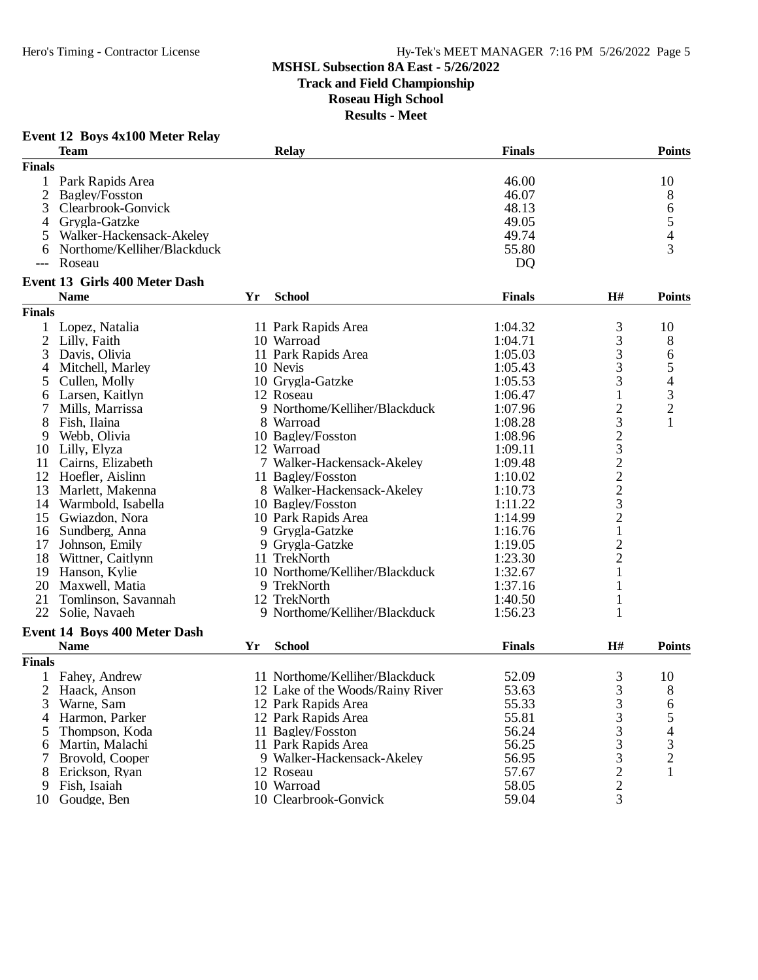**Track and Field Championship**

**Roseau High School**

| <b>Event 12 Boys 4x100 Meter Relay</b> |  |  |  |  |
|----------------------------------------|--|--|--|--|
|----------------------------------------|--|--|--|--|

|                | <b>Team</b>                          |    | Relay                            | <b>Finals</b>  |                                            | <b>Points</b>            |
|----------------|--------------------------------------|----|----------------------------------|----------------|--------------------------------------------|--------------------------|
| <b>Finals</b>  |                                      |    |                                  |                |                                            |                          |
|                | Park Rapids Area                     |    |                                  | 46.00          |                                            | 10                       |
| $\overline{c}$ | Bagley/Fosston                       |    |                                  | 46.07          |                                            | 8                        |
| 3              | Clearbrook-Gonvick                   |    |                                  | 48.13          |                                            | 6                        |
| 4              | Grygla-Gatzke                        |    |                                  | 49.05          |                                            | $\sqrt{5}$               |
| 5              | Walker-Hackensack-Akeley             |    |                                  | 49.74          |                                            | 4                        |
|                | Northome/Kelliher/Blackduck          |    |                                  | 55.80          |                                            | 3                        |
|                | Roseau                               |    |                                  | D <sub>Q</sub> |                                            |                          |
|                | <b>Event 13 Girls 400 Meter Dash</b> |    |                                  |                |                                            |                          |
|                | <b>Name</b>                          | Yr | <b>School</b>                    | <b>Finals</b>  | H#                                         | <b>Points</b>            |
| <b>Finals</b>  |                                      |    |                                  |                |                                            |                          |
| 1              | Lopez, Natalia                       |    | 11 Park Rapids Area              | 1:04.32        | 3                                          | 10                       |
| $\overline{2}$ | Lilly, Faith                         |    | 10 Warroad                       | 1:04.71        |                                            | 8                        |
| 3              | Davis, Olivia                        |    | 11 Park Rapids Area              | 1:05.03        | $\frac{3}{3}$                              | 6                        |
| 4              | Mitchell, Marley                     |    | 10 Nevis                         | 1:05.43        |                                            | 5                        |
| 5              | Cullen, Molly                        |    | 10 Grygla-Gatzke                 | 1:05.53        | $\frac{3}{3}$                              | $\overline{\mathcal{L}}$ |
| 6              | Larsen, Kaitlyn                      |    | 12 Roseau                        | 1:06.47        | $\mathbf{1}$                               | $\mathfrak{Z}$           |
| 7              | Mills, Marrissa                      |    | 9 Northome/Kelliher/Blackduck    | 1:07.96        |                                            | $\overline{2}$           |
| 8              | Fish, Ilaina                         |    | 8 Warroad                        | 1:08.28        | 232322321                                  | $\mathbf{1}$             |
| 9              | Webb, Olivia                         |    | 10 Bagley/Fosston                | 1:08.96        |                                            |                          |
| 10             | Lilly, Elyza                         |    | 12 Warroad                       | 1:09.11        |                                            |                          |
| 11             | Cairns, Elizabeth                    |    | 7 Walker-Hackensack-Akeley       | 1:09.48        |                                            |                          |
| 12             | Hoefler, Aislinn                     |    | 11 Bagley/Fosston                | 1:10.02        |                                            |                          |
| 13             | Marlett, Makenna                     |    | 8 Walker-Hackensack-Akeley       | 1:10.73        |                                            |                          |
| 14             | Warmbold, Isabella                   |    | 10 Bagley/Fosston                | 1:11.22        |                                            |                          |
| 15             | Gwiazdon, Nora                       |    | 10 Park Rapids Area              | 1:14.99        |                                            |                          |
| 16             | Sundberg, Anna                       |    | 9 Grygla-Gatzke                  | 1:16.76        |                                            |                          |
| 17             | Johnson, Emily                       |    | 9 Grygla-Gatzke                  | 1:19.05        |                                            |                          |
| 18             | Wittner, Caitlynn                    |    | 11 TrekNorth                     | 1:23.30        | $\frac{2}{2}$                              |                          |
| 19             | Hanson, Kylie                        |    | 10 Northome/Kelliher/Blackduck   | 1:32.67        | $\mathbf{1}$                               |                          |
| 20             | Maxwell, Matia                       |    | 9 TrekNorth                      | 1:37.16        | 1                                          |                          |
| 21             | Tomlinson, Savannah                  |    | 12 TrekNorth                     | 1:40.50        | 1                                          |                          |
| 22             | Solie, Navaeh                        |    | 9 Northome/Kelliher/Blackduck    | 1:56.23        | 1                                          |                          |
|                | <b>Event 14 Boys 400 Meter Dash</b>  |    |                                  |                |                                            |                          |
|                | <b>Name</b>                          | Yr | <b>School</b>                    | <b>Finals</b>  | H#                                         | <b>Points</b>            |
| <b>Finals</b>  |                                      |    |                                  |                |                                            |                          |
|                | Fahey, Andrew                        |    | 11 Northome/Kelliher/Blackduck   | 52.09          | 3                                          | 10                       |
| 2              | Haack, Anson                         |    | 12 Lake of the Woods/Rainy River | 53.63          | 3                                          | 8                        |
| 3              | Warne, Sam                           |    | 12 Park Rapids Area              | 55.33          |                                            | 6                        |
| 4              | Harmon, Parker                       |    | 12 Park Rapids Area              | 55.81          | $\frac{3}{3}$                              | 5                        |
| 5              | Thompson, Koda                       |    | 11 Bagley/Fosston                | 56.24          |                                            | 4                        |
| 6              | Martin, Malachi                      |    | 11 Park Rapids Area              | 56.25          | $\begin{array}{c} 3 \\ 3 \\ 3 \end{array}$ | 3                        |
|                | Brovold, Cooper                      |    | 9 Walker-Hackensack-Akeley       | 56.95          |                                            | $\overline{c}$           |
| 8              | Erickson, Ryan                       |    | 12 Roseau                        | 57.67          |                                            | 1                        |
| 9              | Fish, Isaiah                         |    | 10 Warroad                       | 58.05          | $\frac{2}{2}$                              |                          |
| 10             | Goudge, Ben                          |    | 10 Clearbrook-Gonvick            | 59.04          | 3                                          |                          |
|                |                                      |    |                                  |                |                                            |                          |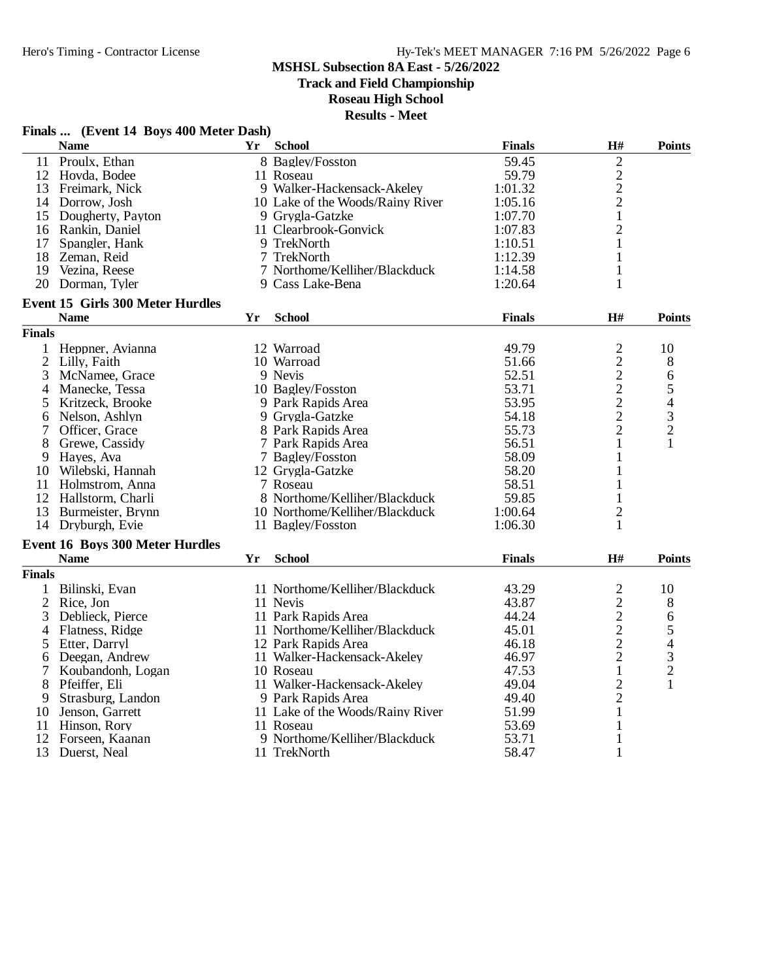**Track and Field Championship**

### **Roseau High School**

|                | Finals  (Event 14 Boys 400 Meter Dash)  |    |                                  |               |                                                   |                                                 |
|----------------|-----------------------------------------|----|----------------------------------|---------------|---------------------------------------------------|-------------------------------------------------|
|                | <b>Name</b>                             | Yr | <b>School</b>                    | <b>Finals</b> | H#                                                | <b>Points</b>                                   |
| 11             | Proulx, Ethan                           |    | 8 Bagley/Fosston                 | 59.45         | $\sqrt{2}$                                        |                                                 |
|                | 12 Hovda, Bodee                         |    | 11 Roseau                        | 59.79         |                                                   |                                                 |
|                | 13 Freimark, Nick                       |    | 9 Walker-Hackensack-Akeley       | 1:01.32       | $\frac{2}{2}$                                     |                                                 |
|                | 14 Dorrow, Josh                         |    | 10 Lake of the Woods/Rainy River | 1:05.16       |                                                   |                                                 |
|                | 15 Dougherty, Payton                    |    | 9 Grygla-Gatzke                  | 1:07.70       | $\mathbf{1}$                                      |                                                 |
|                | 16 Rankin, Daniel                       |    | 11 Clearbrook-Gonvick            | 1:07.83       | $\overline{2}$                                    |                                                 |
| 17             | Spangler, Hank                          |    | 9 TrekNorth                      | 1:10.51       | 1                                                 |                                                 |
|                | 18 Zeman, Reid                          |    | 7 TrekNorth                      | 1:12.39       | 1                                                 |                                                 |
|                | 19 Vezina, Reese                        |    | 7 Northome/Kelliher/Blackduck    | 1:14.58       | 1                                                 |                                                 |
|                | 20 Dorman, Tyler                        |    | 9 Cass Lake-Bena                 | 1:20.64       | 1                                                 |                                                 |
|                | <b>Event 15 Girls 300 Meter Hurdles</b> |    |                                  |               |                                                   |                                                 |
|                | <b>Name</b>                             | Yr | <b>School</b>                    | <b>Finals</b> | H#                                                | <b>Points</b>                                   |
| <b>Finals</b>  |                                         |    |                                  |               |                                                   |                                                 |
| $\mathbf{1}$   | Heppner, Avianna                        |    | 12 Warroad                       | 49.79         | $\overline{c}$                                    | 10                                              |
| $\overline{2}$ | Lilly, Faith                            |    | 10 Warroad                       | 51.66         | $\begin{array}{c}\n2 \\ 2 \\ 2 \\ 2\n\end{array}$ | 8                                               |
| 3              | McNamee, Grace                          |    | 9 Nevis                          | 52.51         |                                                   | 6                                               |
| 4              | Manecke, Tessa                          |    | 10 Bagley/Fosston                | 53.71         |                                                   |                                                 |
| 5              | Kritzeck, Brooke                        |    | 9 Park Rapids Area               | 53.95         |                                                   | $\begin{array}{c} 5 \\ 4 \\ 3 \\ 2 \end{array}$ |
| 6              | Nelson, Ashlyn                          |    | 9 Grygla-Gatzke                  | 54.18         |                                                   |                                                 |
| 7              | Officer, Grace                          |    | 8 Park Rapids Area               | 55.73         | $\overline{c}$                                    |                                                 |
| 8              | Grewe, Cassidy                          |    | 7 Park Rapids Area               | 56.51         | 1                                                 | 1                                               |
| 9              | Hayes, Ava                              |    | 7 Bagley/Fosston                 | 58.09         | 1                                                 |                                                 |
|                | 10 Wilebski, Hannah                     |    | 12 Grygla-Gatzke                 | 58.20         | 1                                                 |                                                 |
|                | 11 Holmstrom, Anna                      |    | 7 Roseau                         | 58.51         | 1                                                 |                                                 |
|                | 12 Hallstorm, Charli                    |    | 8 Northome/Kelliher/Blackduck    | 59.85         | 1                                                 |                                                 |
|                | 13 Burmeister, Brynn                    |    | 10 Northome/Kelliher/Blackduck   | 1:00.64       | $\mathbf{2}$                                      |                                                 |
|                | 14 Dryburgh, Evie                       |    | 11 Bagley/Fosston                | 1:06.30       | 1                                                 |                                                 |
|                | <b>Event 16 Boys 300 Meter Hurdles</b>  |    |                                  |               |                                                   |                                                 |
|                | <b>Name</b>                             | Yr | <b>School</b>                    | <b>Finals</b> | H#                                                | <b>Points</b>                                   |
| <b>Finals</b>  |                                         |    |                                  |               |                                                   |                                                 |
|                | 1 Bilinski, Evan                        |    | 11 Northome/Kelliher/Blackduck   | 43.29         | $\overline{c}$                                    | 10                                              |
| $\mathbf{2}$   | Rice, Jon                               |    | 11 Nevis                         | 43.87         |                                                   | 8                                               |
| 3              | Deblieck, Pierce                        |    | 11 Park Rapids Area              | 44.24         |                                                   | 6                                               |
| 4              | Flatness, Ridge                         |    | 11 Northome/Kelliher/Blackduck   | 45.01         |                                                   |                                                 |
| 5              | Etter, Darryl                           |    | 12 Park Rapids Area              | 46.18         | $\begin{array}{c} 2 \\ 2 \\ 2 \end{array}$        | $\frac{5}{4}$<br>$\frac{3}{2}$                  |
| 6              | Deegan, Andrew                          |    | 11 Walker-Hackensack-Akeley      | 46.97         | $\overline{c}$                                    |                                                 |
| 7              | Koubandonh, Logan                       |    | 10 Roseau                        | 47.53         | $\mathbf{1}$                                      |                                                 |
| 8              | Pfeiffer, Eli                           |    | 11 Walker-Hackensack-Akeley      | 49.04         | $\overline{c}$                                    | $\mathbf{1}$                                    |
| 9              | Strasburg, Landon                       |    | 9 Park Rapids Area               | 49.40         | $\mathbf{2}$                                      |                                                 |
| 10             | Jenson, Garrett                         |    | 11 Lake of the Woods/Rainy River | 51.99         | 1                                                 |                                                 |
|                | 11 Hinson, Rory                         |    | 11 Roseau                        | 53.69         | 1                                                 |                                                 |
| 12             | Forseen, Kaanan                         |    | 9 Northome/Kelliher/Blackduck    | 53.71         | 1                                                 |                                                 |
| 13             | Duerst, Neal                            |    | 11 TrekNorth                     | 58.47         | $\mathbf{1}$                                      |                                                 |
|                |                                         |    |                                  |               |                                                   |                                                 |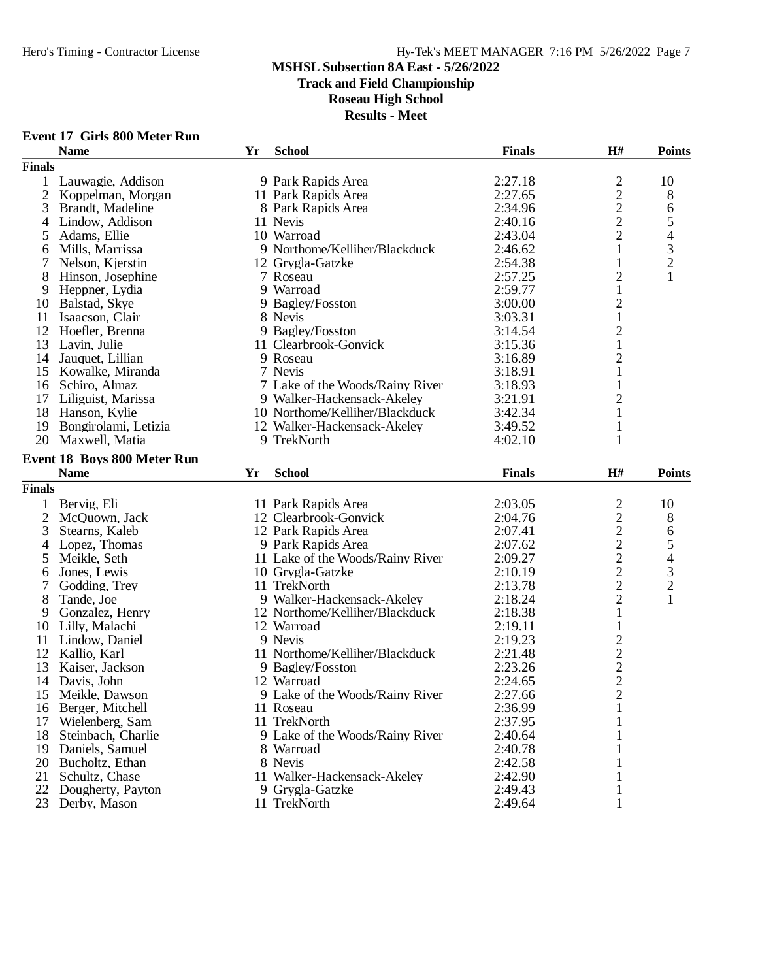**Event 17 Girls 800 Meter Run**

## Hero's Timing - Contractor License Hy-Tek's MEET MANAGER 7:16 PM 5/26/2022 Page 7

# **MSHSL Subsection 8A East - 5/26/2022**

**Track and Field Championship**

### **Roseau High School**

|                | <b>Name</b>                        | Yr | <b>School</b>                    | <b>Finals</b> | H#                                                | <b>Points</b>            |
|----------------|------------------------------------|----|----------------------------------|---------------|---------------------------------------------------|--------------------------|
| <b>Finals</b>  |                                    |    |                                  |               |                                                   |                          |
| $\mathbf{1}$   | Lauwagie, Addison                  |    | 9 Park Rapids Area               | 2:27.18       |                                                   | 10                       |
| 2              | Koppelman, Morgan                  |    | 11 Park Rapids Area              | 2:27.65       | $\begin{array}{c} 2 \\ 2 \\ 2 \end{array}$        | 8                        |
| 3              | Brandt, Madeline                   |    | 8 Park Rapids Area               | 2:34.96       |                                                   | 6                        |
| 4              | Lindow, Addison                    |    | 11 Nevis                         | 2:40.16       |                                                   | 5                        |
| 5              | Adams, Ellie                       |    | 10 Warroad                       | 2:43.04       | $\overline{2}$                                    | $\overline{\mathcal{L}}$ |
| 6              | Mills, Marrissa                    |    | 9 Northome/Kelliher/Blackduck    | 2:46.62       | $\mathbf{1}$                                      | 3                        |
| 7              | Nelson, Kjerstin                   |    | 12 Grygla-Gatzke                 | 2:54.38       | 1                                                 | $\overline{c}$           |
| 8              | Hinson, Josephine                  |    | 7 Roseau                         | 2:57.25       | $\overline{c}$                                    | $\mathbf{1}$             |
| 9              | Heppner, Lydia                     |    | 9 Warroad                        | 2:59.77       | $\mathbf{1}$                                      |                          |
| 10             | Balstad, Skye                      |    | 9 Bagley/Fosston                 | 3:00.00       | $\overline{c}$                                    |                          |
| 11             | Isaacson, Clair                    |    | 8 Nevis                          | 3:03.31       | $\mathbf{1}$                                      |                          |
| 12             | Hoefler, Brenna                    |    | 9 Bagley/Fosston                 | 3:14.54       | $\overline{c}$                                    |                          |
| 13             | Lavin, Julie                       |    | 11 Clearbrook-Gonvick            | 3:15.36       | $\mathbf 1$                                       |                          |
| 14             | Jauquet, Lillian                   |    | 9 Roseau                         | 3:16.89       | $\overline{c}$                                    |                          |
|                | 15 Kowalke, Miranda                |    | 7 Nevis                          | 3:18.91       | $\mathbf{1}$                                      |                          |
|                | 16 Schiro, Almaz                   |    | 7 Lake of the Woods/Rainy River  | 3:18.93       | 1                                                 |                          |
| 17             | Liliguist, Marissa                 |    | 9 Walker-Hackensack-Akeley       | 3:21.91       | $\mathbf{2}$                                      |                          |
|                | 18 Hanson, Kylie                   |    | 10 Northome/Kelliher/Blackduck   | 3:42.34       | $\mathbf{1}$                                      |                          |
| 19             | Bongirolami, Letizia               |    | 12 Walker-Hackensack-Akeley      | 3:49.52       | 1                                                 |                          |
| 20             | Maxwell, Matia                     |    | 9 TrekNorth                      | 4:02.10       | 1                                                 |                          |
|                |                                    |    |                                  |               |                                                   |                          |
|                | <b>Event 18 Boys 800 Meter Run</b> |    |                                  |               |                                                   |                          |
|                | <b>Name</b>                        | Yr | <b>School</b>                    | <b>Finals</b> | H#                                                | <b>Points</b>            |
| <b>Finals</b>  |                                    |    |                                  |               |                                                   |                          |
| $\mathbf{1}$   | Bervig, Eli                        |    | 11 Park Rapids Area              | 2:03.05       | $\overline{c}$                                    | 10                       |
| $\overline{2}$ | McQuown, Jack                      |    | 12 Clearbrook-Gonvick            | 2:04.76       |                                                   | 8                        |
| 3              | Stearns, Kaleb                     |    | 12 Park Rapids Area              | 2:07.41       |                                                   | 6                        |
| $\overline{4}$ | Lopez, Thomas                      |    | 9 Park Rapids Area               | 2:07.62       | $\begin{array}{c}\n2 \\ 2 \\ 2 \\ 2\n\end{array}$ | 5                        |
| 5              | Meikle, Seth                       |    | 11 Lake of the Woods/Rainy River | 2:09.27       |                                                   | $\overline{\mathcal{L}}$ |
| 6              | Jones, Lewis                       |    | 10 Grygla-Gatzke                 | 2:10.19       |                                                   |                          |
| 7              | Godding, Trey                      |    | 11 TrekNorth                     | 2:13.78       | $\overline{c}$                                    | $\frac{3}{2}$            |
| 8              | Tande, Joe                         |    | 9 Walker-Hackensack-Akeley       | 2:18.24       | $\overline{2}$                                    | $\mathbf{1}$             |
| 9              | Gonzalez, Henry                    |    | 12 Northome/Kelliher/Blackduck   | 2:18.38       | $\mathbf{1}$                                      |                          |
|                | 10 Lilly, Malachi                  |    | 12 Warroad                       | 2:19.11       | $\mathbf 1$                                       |                          |
|                | 11 Lindow, Daniel                  |    | 9 Nevis                          | 2:19.23       |                                                   |                          |
|                | 12 Kallio, Karl                    |    | 11 Northome/Kelliher/Blackduck   | 2:21.48       |                                                   |                          |
| 13             | Kaiser, Jackson                    |    | 9 Bagley/Fosston                 | 2:23.26       |                                                   |                          |
| 14             | Davis, John                        |    | 12 Warroad                       | 2:24.65       |                                                   |                          |
| 15             | Meikle, Dawson                     |    | 9 Lake of the Woods/Rainy River  | 2:27.66       | $\begin{array}{c}\n2 \\ 2 \\ 2 \\ 2\n\end{array}$ |                          |
|                | 16 Berger, Mitchell                |    | 11 Roseau                        | 2:36.99       | $\mathbf{1}$                                      |                          |
| 17             | Wielenberg, Sam                    |    | 11 TrekNorth                     | 2:37.95       |                                                   |                          |
| 18             | Steinbach, Charlie                 |    | 9 Lake of the Woods/Rainy River  | 2:40.64       |                                                   |                          |
| 19             | Daniels, Samuel                    |    | 8 Warroad                        | 2:40.78       |                                                   |                          |
| 20             | Bucholtz, Ethan                    |    | 8 Nevis                          | 2:42.58       |                                                   |                          |
| 21             | Schultz, Chase                     |    | 11 Walker-Hackensack-Akeley      | 2:42.90       |                                                   |                          |
| 22             | Dougherty, Payton                  |    | 9 Grygla-Gatzke                  | 2:49.43       |                                                   |                          |
| 23             | Derby, Mason                       |    | 11 TrekNorth                     | 2:49.64       |                                                   |                          |
|                |                                    |    |                                  |               |                                                   |                          |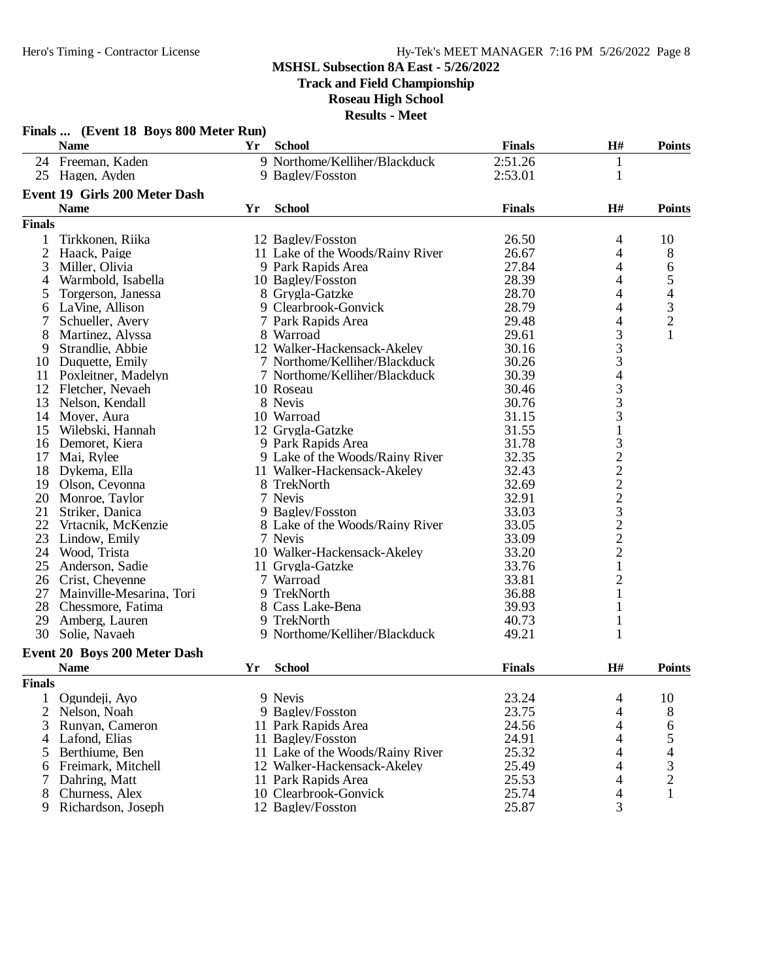**Track and Field Championship**

**Roseau High School**

| Finals  (Event 18 Boys 800 Meter Run)<br><b>Name</b><br><b>School</b><br><b>Finals</b><br>H#<br>Yr<br>24 Freeman, Kaden<br>9 Northome/Kelliher/Blackduck<br>2:51.26<br>$\mathbf{1}$<br>$\mathbf{1}$<br>25<br>Hagen, Ayden<br>9 Bagley/Fosston<br>2:53.01<br>Event 19 Girls 200 Meter Dash<br><b>Name</b><br>H#<br>Yr<br><b>School</b><br><b>Finals</b><br><b>Finals</b><br>Tirkkonen, Riika<br>12 Bagley/Fosston<br>26.50<br>4<br>1<br>2<br>Haack, Paige<br>11 Lake of the Woods/Rainy River<br>4<br>26.67<br>4<br>3<br>Miller, Olivia<br>9 Park Rapids Area<br>27.84<br>28.39<br>4<br>Warmbold, Isabella<br>10 Bagley/Fosston<br>4<br>4<br>28.70<br>5<br>8 Grygla-Gatzke<br>Torgerson, Janessa<br>28.79<br>4<br>LaVine, Allison<br>9 Clearbrook-Gonvick<br>6<br>4<br>29.48<br>7<br>Schueller, Avery<br>7 Park Rapids Area |                                                 |
|----------------------------------------------------------------------------------------------------------------------------------------------------------------------------------------------------------------------------------------------------------------------------------------------------------------------------------------------------------------------------------------------------------------------------------------------------------------------------------------------------------------------------------------------------------------------------------------------------------------------------------------------------------------------------------------------------------------------------------------------------------------------------------------------------------------------------|-------------------------------------------------|
|                                                                                                                                                                                                                                                                                                                                                                                                                                                                                                                                                                                                                                                                                                                                                                                                                            | <b>Points</b>                                   |
|                                                                                                                                                                                                                                                                                                                                                                                                                                                                                                                                                                                                                                                                                                                                                                                                                            |                                                 |
|                                                                                                                                                                                                                                                                                                                                                                                                                                                                                                                                                                                                                                                                                                                                                                                                                            |                                                 |
|                                                                                                                                                                                                                                                                                                                                                                                                                                                                                                                                                                                                                                                                                                                                                                                                                            |                                                 |
|                                                                                                                                                                                                                                                                                                                                                                                                                                                                                                                                                                                                                                                                                                                                                                                                                            | <b>Points</b>                                   |
|                                                                                                                                                                                                                                                                                                                                                                                                                                                                                                                                                                                                                                                                                                                                                                                                                            |                                                 |
|                                                                                                                                                                                                                                                                                                                                                                                                                                                                                                                                                                                                                                                                                                                                                                                                                            | 10                                              |
|                                                                                                                                                                                                                                                                                                                                                                                                                                                                                                                                                                                                                                                                                                                                                                                                                            | 8                                               |
|                                                                                                                                                                                                                                                                                                                                                                                                                                                                                                                                                                                                                                                                                                                                                                                                                            | 6                                               |
|                                                                                                                                                                                                                                                                                                                                                                                                                                                                                                                                                                                                                                                                                                                                                                                                                            | 5                                               |
|                                                                                                                                                                                                                                                                                                                                                                                                                                                                                                                                                                                                                                                                                                                                                                                                                            | $\overline{\mathcal{L}}$                        |
|                                                                                                                                                                                                                                                                                                                                                                                                                                                                                                                                                                                                                                                                                                                                                                                                                            |                                                 |
|                                                                                                                                                                                                                                                                                                                                                                                                                                                                                                                                                                                                                                                                                                                                                                                                                            | $\frac{3}{2}$                                   |
| 8<br>8 Warroad<br>29.61<br>Martinez, Alyssa                                                                                                                                                                                                                                                                                                                                                                                                                                                                                                                                                                                                                                                                                                                                                                                | $\mathbf{1}$                                    |
| $\frac{3}{3}$<br>Strandlie, Abbie<br>12 Walker-Hackensack-Akeley<br>30.16<br>9                                                                                                                                                                                                                                                                                                                                                                                                                                                                                                                                                                                                                                                                                                                                             |                                                 |
| 3<br>7 Northome/Kelliher/Blackduck<br>Duquette, Emily<br>30.26<br>10                                                                                                                                                                                                                                                                                                                                                                                                                                                                                                                                                                                                                                                                                                                                                       |                                                 |
| $\overline{4}$<br>7 Northome/Kelliher/Blackduck<br>30.39<br>11<br>Poxleitner, Madelyn                                                                                                                                                                                                                                                                                                                                                                                                                                                                                                                                                                                                                                                                                                                                      |                                                 |
| 12<br>Fletcher, Nevaeh<br>10 Roseau<br>30.46                                                                                                                                                                                                                                                                                                                                                                                                                                                                                                                                                                                                                                                                                                                                                                               |                                                 |
| 13<br>Nelson, Kendall<br>8 Nevis<br>30.76                                                                                                                                                                                                                                                                                                                                                                                                                                                                                                                                                                                                                                                                                                                                                                                  |                                                 |
| 10 Warroad<br>31.15<br>14<br>Moyer, Aura                                                                                                                                                                                                                                                                                                                                                                                                                                                                                                                                                                                                                                                                                                                                                                                   |                                                 |
| $\begin{array}{c} 3 \\ 3 \\ 3 \\ 1 \end{array}$<br>31.55<br>15<br>Wilebski, Hannah<br>12 Grygla-Gatzke                                                                                                                                                                                                                                                                                                                                                                                                                                                                                                                                                                                                                                                                                                                     |                                                 |
| Demoret, Kiera<br>9 Park Rapids Area<br>31.78<br>16                                                                                                                                                                                                                                                                                                                                                                                                                                                                                                                                                                                                                                                                                                                                                                        |                                                 |
| 17<br>Mai, Rylee<br>9 Lake of the Woods/Rainy River<br>32.35                                                                                                                                                                                                                                                                                                                                                                                                                                                                                                                                                                                                                                                                                                                                                               |                                                 |
| 322223222<br>18<br>Dykema, Ella<br>11 Walker-Hackensack-Akeley<br>32.43                                                                                                                                                                                                                                                                                                                                                                                                                                                                                                                                                                                                                                                                                                                                                    |                                                 |
| 19<br>8 TrekNorth<br>32.69<br>Olson, Ceyonna                                                                                                                                                                                                                                                                                                                                                                                                                                                                                                                                                                                                                                                                                                                                                                               |                                                 |
| 7 Nevis<br>20<br>32.91<br>Monroe, Taylor                                                                                                                                                                                                                                                                                                                                                                                                                                                                                                                                                                                                                                                                                                                                                                                   |                                                 |
| 9 Bagley/Fosston<br>33.03<br>21<br>Striker, Danica                                                                                                                                                                                                                                                                                                                                                                                                                                                                                                                                                                                                                                                                                                                                                                         |                                                 |
| 22<br>8 Lake of the Woods/Rainy River<br>Vrtacnik, McKenzie<br>33.05                                                                                                                                                                                                                                                                                                                                                                                                                                                                                                                                                                                                                                                                                                                                                       |                                                 |
| 23<br>7 Nevis<br>33.09<br>Lindow, Emily                                                                                                                                                                                                                                                                                                                                                                                                                                                                                                                                                                                                                                                                                                                                                                                    |                                                 |
| 24<br>10 Walker-Hackensack-Akeley<br>33.20<br>Wood, Trista                                                                                                                                                                                                                                                                                                                                                                                                                                                                                                                                                                                                                                                                                                                                                                 |                                                 |
| $\mathbf{1}$<br>33.76<br>25<br>11 Grygla-Gatzke<br>Anderson, Sadie                                                                                                                                                                                                                                                                                                                                                                                                                                                                                                                                                                                                                                                                                                                                                         |                                                 |
| $\overline{c}$<br>26<br>7 Warroad<br>33.81<br>Crist, Cheyenne                                                                                                                                                                                                                                                                                                                                                                                                                                                                                                                                                                                                                                                                                                                                                              |                                                 |
| $\mathbf{1}$<br>27<br>Mainville-Mesarina, Tori<br>9 TrekNorth<br>36.88                                                                                                                                                                                                                                                                                                                                                                                                                                                                                                                                                                                                                                                                                                                                                     |                                                 |
| $\mathbf{1}$<br>28<br>Chessmore, Fatima<br>8 Cass Lake-Bena<br>39.93                                                                                                                                                                                                                                                                                                                                                                                                                                                                                                                                                                                                                                                                                                                                                       |                                                 |
| 29<br>9 TrekNorth<br>$\mathbf{1}$<br>Amberg, Lauren<br>40.73                                                                                                                                                                                                                                                                                                                                                                                                                                                                                                                                                                                                                                                                                                                                                               |                                                 |
| $\mathbf{1}$<br>30<br>9 Northome/Kelliher/Blackduck<br>49.21<br>Solie, Navaeh                                                                                                                                                                                                                                                                                                                                                                                                                                                                                                                                                                                                                                                                                                                                              |                                                 |
| Event 20 Boys 200 Meter Dash                                                                                                                                                                                                                                                                                                                                                                                                                                                                                                                                                                                                                                                                                                                                                                                               |                                                 |
| <b>Name</b><br><b>School</b><br><b>Finals</b><br>H#<br>Yr                                                                                                                                                                                                                                                                                                                                                                                                                                                                                                                                                                                                                                                                                                                                                                  | <b>Points</b>                                   |
| <b>Finals</b>                                                                                                                                                                                                                                                                                                                                                                                                                                                                                                                                                                                                                                                                                                                                                                                                              |                                                 |
| 23.24<br>1<br>Ogundeji, Ayo<br>9 Nevis<br>$\overline{4}$                                                                                                                                                                                                                                                                                                                                                                                                                                                                                                                                                                                                                                                                                                                                                                   | 10                                              |
| 2 Nelson, Noah<br>23.75<br>4<br>9 Bagley/Fosston                                                                                                                                                                                                                                                                                                                                                                                                                                                                                                                                                                                                                                                                                                                                                                           | 8                                               |
| 24.56<br>4<br>3<br>Runyan, Cameron<br>11 Park Rapids Area                                                                                                                                                                                                                                                                                                                                                                                                                                                                                                                                                                                                                                                                                                                                                                  | 6                                               |
| $\overline{\mathcal{L}}$<br>24.91<br>Lafond, Elias<br>11 Bagley/Fosston<br>4                                                                                                                                                                                                                                                                                                                                                                                                                                                                                                                                                                                                                                                                                                                                               |                                                 |
| 25.32<br>4<br>Berthiume, Ben<br>11 Lake of the Woods/Rainy River<br>5                                                                                                                                                                                                                                                                                                                                                                                                                                                                                                                                                                                                                                                                                                                                                      | $\begin{array}{c} 5 \\ 4 \\ 3 \\ 2 \end{array}$ |
| $\overline{\mathcal{A}}$<br>25.49<br>Freimark, Mitchell<br>12 Walker-Hackensack-Akeley<br>6                                                                                                                                                                                                                                                                                                                                                                                                                                                                                                                                                                                                                                                                                                                                |                                                 |
| $\overline{\mathcal{A}}$<br>25.53<br>7<br>Dahring, Matt<br>11 Park Rapids Area                                                                                                                                                                                                                                                                                                                                                                                                                                                                                                                                                                                                                                                                                                                                             |                                                 |
| 25.74<br>$\overline{4}$<br>Churness, Alex<br>10 Clearbrook-Gonvick<br>8                                                                                                                                                                                                                                                                                                                                                                                                                                                                                                                                                                                                                                                                                                                                                    |                                                 |
| 3<br>12 Bagley/Fosston<br>25.87<br>9<br>Richardson, Joseph                                                                                                                                                                                                                                                                                                                                                                                                                                                                                                                                                                                                                                                                                                                                                                 |                                                 |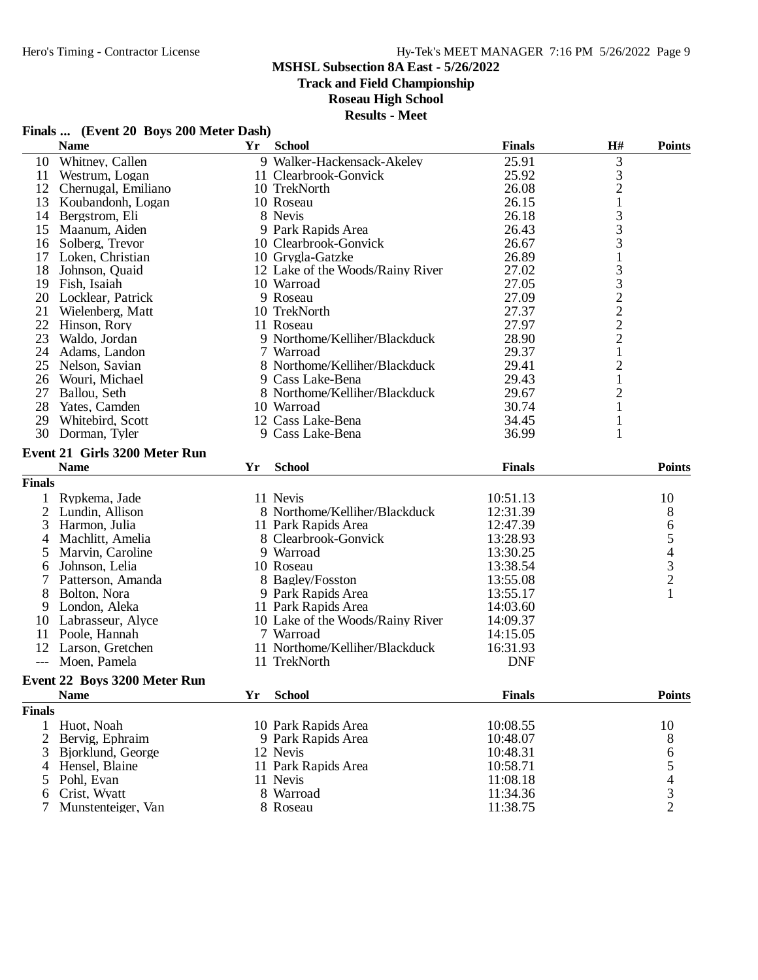### Hy-Tek's MEET MANAGER 7:16 PM 5/26/2022 Page 9

#### **MSHSL Subsection 8A East - 5/26/2022**

**Track and Field Championship**

### **Roseau High School**

**Results - Meet**

## **Finals ... (Event 20 Boys 200 Meter Dash)**

|               | <b>Name</b>                   | Yr        | <b>School</b>                    | <b>Finals</b> | H#                                         | <b>Points</b>                                   |
|---------------|-------------------------------|-----------|----------------------------------|---------------|--------------------------------------------|-------------------------------------------------|
| 10            | Whitney, Callen               |           | 9 Walker-Hackensack-Akeley       | 25.91         | 3                                          |                                                 |
| 11            | Westrum, Logan                |           | 11 Clearbrook-Gonvick            | 25.92         |                                            |                                                 |
| 12            | Chernugal, Emiliano           |           | 10 TrekNorth                     | 26.08         | $\begin{array}{c} 3 \\ 2 \\ 1 \end{array}$ |                                                 |
| 13            | Koubandonh, Logan             |           | 10 Roseau                        | 26.15         |                                            |                                                 |
| 14            | Bergstrom, Eli                |           | 8 Nevis                          | 26.18         |                                            |                                                 |
| 15            | Maanum, Aiden                 |           | 9 Park Rapids Area               | 26.43         | $\begin{array}{c} 3 \\ 3 \\ 3 \end{array}$ |                                                 |
| 16            | Solberg, Trevor               |           | 10 Clearbrook-Gonvick            | 26.67         |                                            |                                                 |
| 17            | Loken, Christian              |           | 10 Grygla-Gatzke                 | 26.89         | $\mathbf 1$                                |                                                 |
| 18            | Johnson, Quaid                |           | 12 Lake of the Woods/Rainy River | 27.02         | $33222$<br>2<br>2<br>2                     |                                                 |
| 19            | Fish, Isaiah                  |           | 10 Warroad                       | 27.05         |                                            |                                                 |
| 20            | Locklear, Patrick             |           | 9 Roseau                         | 27.09         |                                            |                                                 |
| 21            | Wielenberg, Matt              |           | 10 TrekNorth                     | 27.37         |                                            |                                                 |
|               | 22 Hinson, Rory               |           | 11 Roseau                        | 27.97         |                                            |                                                 |
| 23            | Waldo, Jordan                 |           | 9 Northome/Kelliher/Blackduck    | 28.90         |                                            |                                                 |
| 24            | Adams, Landon                 |           | 7 Warroad                        | 29.37         | $\mathbf{1}$                               |                                                 |
| 25            | Nelson, Savian                |           | 8 Northome/Kelliher/Blackduck    | 29.41         | $\overline{\mathbf{c}}$                    |                                                 |
|               | 26 Wouri, Michael             |           | 9 Cass Lake-Bena                 | 29.43         | $\mathbf{1}$                               |                                                 |
| 27            | Ballou, Seth                  |           | 8 Northome/Kelliher/Blackduck    | 29.67         | $\overline{c}$                             |                                                 |
| 28            | Yates, Camden                 |           | 10 Warroad                       | 30.74         | $\mathbf{1}$                               |                                                 |
| 29            | Whitebird, Scott              |           | 12 Cass Lake-Bena                | 34.45         | 1                                          |                                                 |
|               | 30 Dorman, Tyler              |           | 9 Cass Lake-Bena                 | 36.99         | 1                                          |                                                 |
|               | Event 21 Girls 3200 Meter Run |           |                                  |               |                                            |                                                 |
|               | <b>Name</b>                   | <b>Yr</b> | <b>School</b>                    | <b>Finals</b> |                                            | <b>Points</b>                                   |
| <b>Finals</b> |                               |           |                                  |               |                                            |                                                 |
|               | Rypkema, Jade                 |           | 11 Nevis                         | 10:51.13      |                                            | 10                                              |
| 2             | Lundin, Allison               |           | 8 Northome/Kelliher/Blackduck    | 12:31.39      |                                            | 8                                               |
| 3             | Harmon, Julia                 |           | 11 Park Rapids Area              | 12:47.39      |                                            | 6                                               |
| 4             | Machlitt, Amelia              |           | 8 Clearbrook-Gonvick             | 13:28.93      |                                            |                                                 |
| 5             | Marvin, Caroline              |           | 9 Warroad                        | 13:30.25      |                                            |                                                 |
| 6             | Johnson, Lelia                |           | 10 Roseau                        | 13:38.54      |                                            |                                                 |
|               | Patterson, Amanda             |           | 8 Bagley/Fosston                 | 13:55.08      |                                            | $\begin{array}{c} 5 \\ 4 \\ 3 \\ 2 \end{array}$ |
| 8             | Bolton, Nora                  |           | 9 Park Rapids Area               | 13:55.17      |                                            | $\mathbf{1}$                                    |
| 9             | London, Aleka                 |           | 11 Park Rapids Area              | 14:03.60      |                                            |                                                 |
|               | 10 Labrasseur, Alyce          |           | 10 Lake of the Woods/Rainy River | 14:09.37      |                                            |                                                 |
| 11            | Poole, Hannah                 |           | 7 Warroad                        | 14:15.05      |                                            |                                                 |
|               | 12 Larson, Gretchen           |           | 11 Northome/Kelliher/Blackduck   | 16:31.93      |                                            |                                                 |
|               | --- Moen, Pamela              |           | 11 TrekNorth                     | <b>DNF</b>    |                                            |                                                 |
|               | 250035<br>$\overline{a}$      |           |                                  |               |                                            |                                                 |

## **Event 22 Boys 3200 Meter Run**

|        | П<br>- 20 |
|--------|-----------|
| ĸ<br>ы |           |

| <b>Name</b>          | <b>School</b><br>Үr | <b>Finals</b> | <b>Points</b> |
|----------------------|---------------------|---------------|---------------|
| als                  |                     |               |               |
| 1 Huot, Noah         | 10 Park Rapids Area | 10:08.55      | 10            |
| 2 Bervig, Ephraim    | 9 Park Rapids Area  | 10:48.07      |               |
| 3 Bjorklund, George  | 12 Nevis            | 10:48.31      | 6             |
| 4 Hensel, Blaine     | 11 Park Rapids Area | 10:58.71      |               |
| 5 Pohl, Evan         | 11 Nevis            | 11:08.18      | 4             |
| 6 Crist, Wyatt       | 8 Warroad           | 11:34.36      |               |
| 7 Munstenteiger, Van | 8 Roseau            | 11:38.75      |               |
|                      |                     |               |               |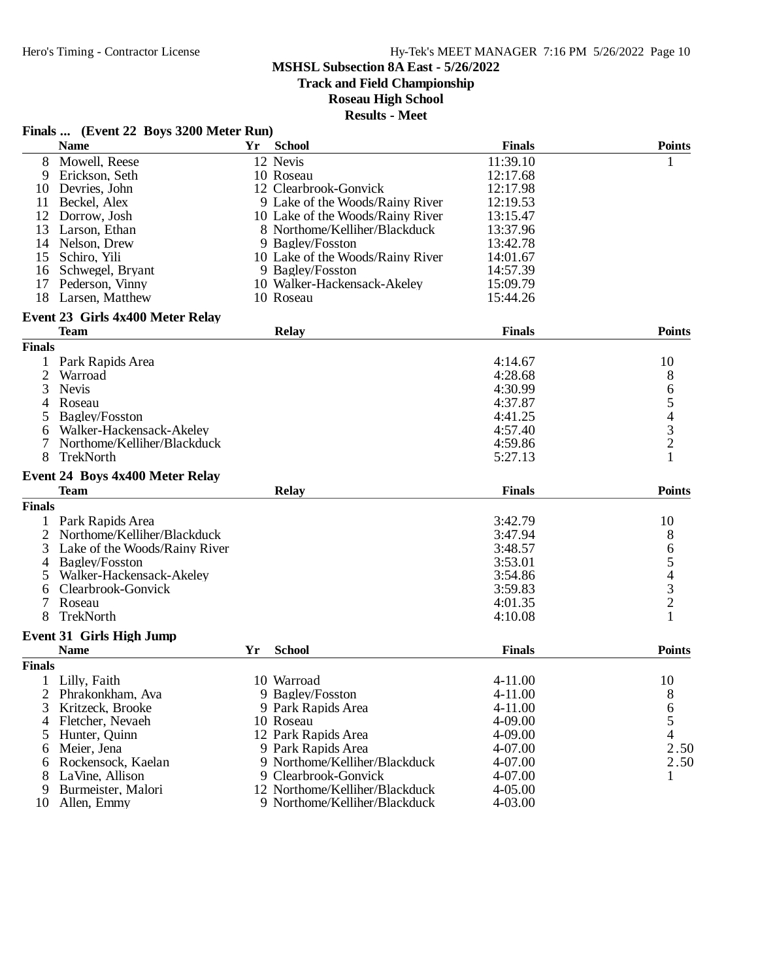## Hy-Tek's MEET MANAGER 7:16 PM 5/26/2022 Page 10

#### **MSHSL Subsection 8A East - 5/26/2022**

**Track and Field Championship**

### **Roseau High School**

| <b>Finals</b><br><b>Name</b><br><b>School</b><br><b>Points</b><br>Yr<br>12 Nevis<br>Mowell, Reese<br>11:39.10<br>8<br>1<br>Erickson, Seth<br>10 Roseau<br>12:17.68<br>9<br>12 Clearbrook-Gonvick<br>Devries, John<br>12:17.98<br>10<br>12:19.53<br>Beckel, Alex<br>9 Lake of the Woods/Rainy River<br>11<br>10 Lake of the Woods/Rainy River<br>13:15.47<br>12<br>Dorrow, Josh<br>13<br>Larson, Ethan<br>8 Northome/Kelliher/Blackduck<br>13:37.96<br>Nelson, Drew<br>9 Bagley/Fosston<br>13:42.78<br>14<br>Schiro, Yili<br>10 Lake of the Woods/Rainy River<br>15<br>14:01.67<br>14:57.39<br>Schwegel, Bryant<br>9 Bagley/Fosston<br>16<br>10 Walker-Hackensack-Akeley<br>17<br>Pederson, Vinny<br>15:09.79<br>18<br>15:44.26<br>Larsen, Matthew<br>10 Roseau<br>Event 23 Girls 4x400 Meter Relay<br><b>Finals</b><br><b>Points</b><br><b>Team</b><br><b>Relay</b><br><b>Finals</b><br>Park Rapids Area<br>4:14.67<br>10<br>2<br>8<br>Warroad<br>4:28.68<br>65432<br><b>Nevis</b><br>3<br>4:30.99<br>4:37.87<br>4<br>Roseau<br>5<br>Bagley/Fosston<br>4:41.25<br>Walker-Hackensack-Akeley<br>4:57.40<br>6<br>Northome/Kelliher/Blackduck<br>4:59.86<br>$\mathbf{1}$<br>8<br>TrekNorth<br>5:27.13<br>Event 24 Boys 4x400 Meter Relay<br><b>Team</b><br><b>Finals</b><br><b>Points</b><br><b>Relay</b><br><b>Finals</b><br>Park Rapids Area<br>3:42.79<br>10<br>Northome/Kelliher/Blackduck<br>8<br>2<br>3:47.94<br>65432<br>Lake of the Woods/Rainy River<br>3:48.57<br>3<br>Bagley/Fosston<br>3:53.01<br>4<br>Walker-Hackensack-Akeley<br>3:54.86<br>5<br>3:59.83<br>Clearbrook-Gonvick<br>6<br>Roseau<br>4:01.35<br>8<br>TrekNorth<br>4:10.08<br><b>Event 31 Girls High Jump</b><br><b>Name</b><br><b>School</b><br><b>Finals</b><br><b>Points</b><br>Yr<br><b>Finals</b><br>4-11.00<br>Lilly, Faith<br>10<br>10 Warroad<br>$\perp$<br>8<br>2<br>Phrakonkham, Ava<br>9 Bagley/Fosston<br>4-11.00<br>6<br>4-11.00<br>3<br>Kritzeck, Brooke<br>9 Park Rapids Area<br>5<br>Fletcher, Nevaeh<br>10 Roseau<br>4-09.00<br>4<br>4<br>12 Park Rapids Area<br>4-09.00<br>5<br>Hunter, Ouinn<br>2.50<br>4-07.00<br>Meier, Jena<br>9 Park Rapids Area<br>6<br>2.50<br>Rockensock, Kaelan<br>9 Northome/Kelliher/Blackduck<br>4-07.00<br>6<br>9 Clearbrook-Gonvick<br>LaVine, Allison<br>4-07.00<br>8<br>1<br>12 Northome/Kelliher/Blackduck<br>4-05.00<br>Burmeister, Malori<br>9 |    | Finals  (Event 22 Boys 3200 Meter Run) |                               |         |  |
|--------------------------------------------------------------------------------------------------------------------------------------------------------------------------------------------------------------------------------------------------------------------------------------------------------------------------------------------------------------------------------------------------------------------------------------------------------------------------------------------------------------------------------------------------------------------------------------------------------------------------------------------------------------------------------------------------------------------------------------------------------------------------------------------------------------------------------------------------------------------------------------------------------------------------------------------------------------------------------------------------------------------------------------------------------------------------------------------------------------------------------------------------------------------------------------------------------------------------------------------------------------------------------------------------------------------------------------------------------------------------------------------------------------------------------------------------------------------------------------------------------------------------------------------------------------------------------------------------------------------------------------------------------------------------------------------------------------------------------------------------------------------------------------------------------------------------------------------------------------------------------------------------------------------------------------------------------------------------------------------------------------------------------------------------------------------------------------------------------------------------------------------------------------------------------------------------------------------------------------------------------------------------------------------------------------------------------------------------------------------------|----|----------------------------------------|-------------------------------|---------|--|
|                                                                                                                                                                                                                                                                                                                                                                                                                                                                                                                                                                                                                                                                                                                                                                                                                                                                                                                                                                                                                                                                                                                                                                                                                                                                                                                                                                                                                                                                                                                                                                                                                                                                                                                                                                                                                                                                                                                                                                                                                                                                                                                                                                                                                                                                                                                                                                          |    |                                        |                               |         |  |
|                                                                                                                                                                                                                                                                                                                                                                                                                                                                                                                                                                                                                                                                                                                                                                                                                                                                                                                                                                                                                                                                                                                                                                                                                                                                                                                                                                                                                                                                                                                                                                                                                                                                                                                                                                                                                                                                                                                                                                                                                                                                                                                                                                                                                                                                                                                                                                          |    |                                        |                               |         |  |
|                                                                                                                                                                                                                                                                                                                                                                                                                                                                                                                                                                                                                                                                                                                                                                                                                                                                                                                                                                                                                                                                                                                                                                                                                                                                                                                                                                                                                                                                                                                                                                                                                                                                                                                                                                                                                                                                                                                                                                                                                                                                                                                                                                                                                                                                                                                                                                          |    |                                        |                               |         |  |
|                                                                                                                                                                                                                                                                                                                                                                                                                                                                                                                                                                                                                                                                                                                                                                                                                                                                                                                                                                                                                                                                                                                                                                                                                                                                                                                                                                                                                                                                                                                                                                                                                                                                                                                                                                                                                                                                                                                                                                                                                                                                                                                                                                                                                                                                                                                                                                          |    |                                        |                               |         |  |
|                                                                                                                                                                                                                                                                                                                                                                                                                                                                                                                                                                                                                                                                                                                                                                                                                                                                                                                                                                                                                                                                                                                                                                                                                                                                                                                                                                                                                                                                                                                                                                                                                                                                                                                                                                                                                                                                                                                                                                                                                                                                                                                                                                                                                                                                                                                                                                          |    |                                        |                               |         |  |
|                                                                                                                                                                                                                                                                                                                                                                                                                                                                                                                                                                                                                                                                                                                                                                                                                                                                                                                                                                                                                                                                                                                                                                                                                                                                                                                                                                                                                                                                                                                                                                                                                                                                                                                                                                                                                                                                                                                                                                                                                                                                                                                                                                                                                                                                                                                                                                          |    |                                        |                               |         |  |
|                                                                                                                                                                                                                                                                                                                                                                                                                                                                                                                                                                                                                                                                                                                                                                                                                                                                                                                                                                                                                                                                                                                                                                                                                                                                                                                                                                                                                                                                                                                                                                                                                                                                                                                                                                                                                                                                                                                                                                                                                                                                                                                                                                                                                                                                                                                                                                          |    |                                        |                               |         |  |
|                                                                                                                                                                                                                                                                                                                                                                                                                                                                                                                                                                                                                                                                                                                                                                                                                                                                                                                                                                                                                                                                                                                                                                                                                                                                                                                                                                                                                                                                                                                                                                                                                                                                                                                                                                                                                                                                                                                                                                                                                                                                                                                                                                                                                                                                                                                                                                          |    |                                        |                               |         |  |
|                                                                                                                                                                                                                                                                                                                                                                                                                                                                                                                                                                                                                                                                                                                                                                                                                                                                                                                                                                                                                                                                                                                                                                                                                                                                                                                                                                                                                                                                                                                                                                                                                                                                                                                                                                                                                                                                                                                                                                                                                                                                                                                                                                                                                                                                                                                                                                          |    |                                        |                               |         |  |
|                                                                                                                                                                                                                                                                                                                                                                                                                                                                                                                                                                                                                                                                                                                                                                                                                                                                                                                                                                                                                                                                                                                                                                                                                                                                                                                                                                                                                                                                                                                                                                                                                                                                                                                                                                                                                                                                                                                                                                                                                                                                                                                                                                                                                                                                                                                                                                          |    |                                        |                               |         |  |
|                                                                                                                                                                                                                                                                                                                                                                                                                                                                                                                                                                                                                                                                                                                                                                                                                                                                                                                                                                                                                                                                                                                                                                                                                                                                                                                                                                                                                                                                                                                                                                                                                                                                                                                                                                                                                                                                                                                                                                                                                                                                                                                                                                                                                                                                                                                                                                          |    |                                        |                               |         |  |
|                                                                                                                                                                                                                                                                                                                                                                                                                                                                                                                                                                                                                                                                                                                                                                                                                                                                                                                                                                                                                                                                                                                                                                                                                                                                                                                                                                                                                                                                                                                                                                                                                                                                                                                                                                                                                                                                                                                                                                                                                                                                                                                                                                                                                                                                                                                                                                          |    |                                        |                               |         |  |
|                                                                                                                                                                                                                                                                                                                                                                                                                                                                                                                                                                                                                                                                                                                                                                                                                                                                                                                                                                                                                                                                                                                                                                                                                                                                                                                                                                                                                                                                                                                                                                                                                                                                                                                                                                                                                                                                                                                                                                                                                                                                                                                                                                                                                                                                                                                                                                          |    |                                        |                               |         |  |
|                                                                                                                                                                                                                                                                                                                                                                                                                                                                                                                                                                                                                                                                                                                                                                                                                                                                                                                                                                                                                                                                                                                                                                                                                                                                                                                                                                                                                                                                                                                                                                                                                                                                                                                                                                                                                                                                                                                                                                                                                                                                                                                                                                                                                                                                                                                                                                          |    |                                        |                               |         |  |
|                                                                                                                                                                                                                                                                                                                                                                                                                                                                                                                                                                                                                                                                                                                                                                                                                                                                                                                                                                                                                                                                                                                                                                                                                                                                                                                                                                                                                                                                                                                                                                                                                                                                                                                                                                                                                                                                                                                                                                                                                                                                                                                                                                                                                                                                                                                                                                          |    |                                        |                               |         |  |
|                                                                                                                                                                                                                                                                                                                                                                                                                                                                                                                                                                                                                                                                                                                                                                                                                                                                                                                                                                                                                                                                                                                                                                                                                                                                                                                                                                                                                                                                                                                                                                                                                                                                                                                                                                                                                                                                                                                                                                                                                                                                                                                                                                                                                                                                                                                                                                          |    |                                        |                               |         |  |
|                                                                                                                                                                                                                                                                                                                                                                                                                                                                                                                                                                                                                                                                                                                                                                                                                                                                                                                                                                                                                                                                                                                                                                                                                                                                                                                                                                                                                                                                                                                                                                                                                                                                                                                                                                                                                                                                                                                                                                                                                                                                                                                                                                                                                                                                                                                                                                          |    |                                        |                               |         |  |
|                                                                                                                                                                                                                                                                                                                                                                                                                                                                                                                                                                                                                                                                                                                                                                                                                                                                                                                                                                                                                                                                                                                                                                                                                                                                                                                                                                                                                                                                                                                                                                                                                                                                                                                                                                                                                                                                                                                                                                                                                                                                                                                                                                                                                                                                                                                                                                          |    |                                        |                               |         |  |
|                                                                                                                                                                                                                                                                                                                                                                                                                                                                                                                                                                                                                                                                                                                                                                                                                                                                                                                                                                                                                                                                                                                                                                                                                                                                                                                                                                                                                                                                                                                                                                                                                                                                                                                                                                                                                                                                                                                                                                                                                                                                                                                                                                                                                                                                                                                                                                          |    |                                        |                               |         |  |
|                                                                                                                                                                                                                                                                                                                                                                                                                                                                                                                                                                                                                                                                                                                                                                                                                                                                                                                                                                                                                                                                                                                                                                                                                                                                                                                                                                                                                                                                                                                                                                                                                                                                                                                                                                                                                                                                                                                                                                                                                                                                                                                                                                                                                                                                                                                                                                          |    |                                        |                               |         |  |
|                                                                                                                                                                                                                                                                                                                                                                                                                                                                                                                                                                                                                                                                                                                                                                                                                                                                                                                                                                                                                                                                                                                                                                                                                                                                                                                                                                                                                                                                                                                                                                                                                                                                                                                                                                                                                                                                                                                                                                                                                                                                                                                                                                                                                                                                                                                                                                          |    |                                        |                               |         |  |
|                                                                                                                                                                                                                                                                                                                                                                                                                                                                                                                                                                                                                                                                                                                                                                                                                                                                                                                                                                                                                                                                                                                                                                                                                                                                                                                                                                                                                                                                                                                                                                                                                                                                                                                                                                                                                                                                                                                                                                                                                                                                                                                                                                                                                                                                                                                                                                          |    |                                        |                               |         |  |
|                                                                                                                                                                                                                                                                                                                                                                                                                                                                                                                                                                                                                                                                                                                                                                                                                                                                                                                                                                                                                                                                                                                                                                                                                                                                                                                                                                                                                                                                                                                                                                                                                                                                                                                                                                                                                                                                                                                                                                                                                                                                                                                                                                                                                                                                                                                                                                          |    |                                        |                               |         |  |
|                                                                                                                                                                                                                                                                                                                                                                                                                                                                                                                                                                                                                                                                                                                                                                                                                                                                                                                                                                                                                                                                                                                                                                                                                                                                                                                                                                                                                                                                                                                                                                                                                                                                                                                                                                                                                                                                                                                                                                                                                                                                                                                                                                                                                                                                                                                                                                          |    |                                        |                               |         |  |
|                                                                                                                                                                                                                                                                                                                                                                                                                                                                                                                                                                                                                                                                                                                                                                                                                                                                                                                                                                                                                                                                                                                                                                                                                                                                                                                                                                                                                                                                                                                                                                                                                                                                                                                                                                                                                                                                                                                                                                                                                                                                                                                                                                                                                                                                                                                                                                          |    |                                        |                               |         |  |
|                                                                                                                                                                                                                                                                                                                                                                                                                                                                                                                                                                                                                                                                                                                                                                                                                                                                                                                                                                                                                                                                                                                                                                                                                                                                                                                                                                                                                                                                                                                                                                                                                                                                                                                                                                                                                                                                                                                                                                                                                                                                                                                                                                                                                                                                                                                                                                          |    |                                        |                               |         |  |
|                                                                                                                                                                                                                                                                                                                                                                                                                                                                                                                                                                                                                                                                                                                                                                                                                                                                                                                                                                                                                                                                                                                                                                                                                                                                                                                                                                                                                                                                                                                                                                                                                                                                                                                                                                                                                                                                                                                                                                                                                                                                                                                                                                                                                                                                                                                                                                          |    |                                        |                               |         |  |
|                                                                                                                                                                                                                                                                                                                                                                                                                                                                                                                                                                                                                                                                                                                                                                                                                                                                                                                                                                                                                                                                                                                                                                                                                                                                                                                                                                                                                                                                                                                                                                                                                                                                                                                                                                                                                                                                                                                                                                                                                                                                                                                                                                                                                                                                                                                                                                          |    |                                        |                               |         |  |
|                                                                                                                                                                                                                                                                                                                                                                                                                                                                                                                                                                                                                                                                                                                                                                                                                                                                                                                                                                                                                                                                                                                                                                                                                                                                                                                                                                                                                                                                                                                                                                                                                                                                                                                                                                                                                                                                                                                                                                                                                                                                                                                                                                                                                                                                                                                                                                          |    |                                        |                               |         |  |
|                                                                                                                                                                                                                                                                                                                                                                                                                                                                                                                                                                                                                                                                                                                                                                                                                                                                                                                                                                                                                                                                                                                                                                                                                                                                                                                                                                                                                                                                                                                                                                                                                                                                                                                                                                                                                                                                                                                                                                                                                                                                                                                                                                                                                                                                                                                                                                          |    |                                        |                               |         |  |
|                                                                                                                                                                                                                                                                                                                                                                                                                                                                                                                                                                                                                                                                                                                                                                                                                                                                                                                                                                                                                                                                                                                                                                                                                                                                                                                                                                                                                                                                                                                                                                                                                                                                                                                                                                                                                                                                                                                                                                                                                                                                                                                                                                                                                                                                                                                                                                          |    |                                        |                               |         |  |
|                                                                                                                                                                                                                                                                                                                                                                                                                                                                                                                                                                                                                                                                                                                                                                                                                                                                                                                                                                                                                                                                                                                                                                                                                                                                                                                                                                                                                                                                                                                                                                                                                                                                                                                                                                                                                                                                                                                                                                                                                                                                                                                                                                                                                                                                                                                                                                          |    |                                        |                               |         |  |
|                                                                                                                                                                                                                                                                                                                                                                                                                                                                                                                                                                                                                                                                                                                                                                                                                                                                                                                                                                                                                                                                                                                                                                                                                                                                                                                                                                                                                                                                                                                                                                                                                                                                                                                                                                                                                                                                                                                                                                                                                                                                                                                                                                                                                                                                                                                                                                          |    |                                        |                               |         |  |
|                                                                                                                                                                                                                                                                                                                                                                                                                                                                                                                                                                                                                                                                                                                                                                                                                                                                                                                                                                                                                                                                                                                                                                                                                                                                                                                                                                                                                                                                                                                                                                                                                                                                                                                                                                                                                                                                                                                                                                                                                                                                                                                                                                                                                                                                                                                                                                          |    |                                        |                               |         |  |
|                                                                                                                                                                                                                                                                                                                                                                                                                                                                                                                                                                                                                                                                                                                                                                                                                                                                                                                                                                                                                                                                                                                                                                                                                                                                                                                                                                                                                                                                                                                                                                                                                                                                                                                                                                                                                                                                                                                                                                                                                                                                                                                                                                                                                                                                                                                                                                          |    |                                        |                               |         |  |
|                                                                                                                                                                                                                                                                                                                                                                                                                                                                                                                                                                                                                                                                                                                                                                                                                                                                                                                                                                                                                                                                                                                                                                                                                                                                                                                                                                                                                                                                                                                                                                                                                                                                                                                                                                                                                                                                                                                                                                                                                                                                                                                                                                                                                                                                                                                                                                          |    |                                        |                               |         |  |
|                                                                                                                                                                                                                                                                                                                                                                                                                                                                                                                                                                                                                                                                                                                                                                                                                                                                                                                                                                                                                                                                                                                                                                                                                                                                                                                                                                                                                                                                                                                                                                                                                                                                                                                                                                                                                                                                                                                                                                                                                                                                                                                                                                                                                                                                                                                                                                          |    |                                        |                               |         |  |
|                                                                                                                                                                                                                                                                                                                                                                                                                                                                                                                                                                                                                                                                                                                                                                                                                                                                                                                                                                                                                                                                                                                                                                                                                                                                                                                                                                                                                                                                                                                                                                                                                                                                                                                                                                                                                                                                                                                                                                                                                                                                                                                                                                                                                                                                                                                                                                          |    |                                        |                               |         |  |
|                                                                                                                                                                                                                                                                                                                                                                                                                                                                                                                                                                                                                                                                                                                                                                                                                                                                                                                                                                                                                                                                                                                                                                                                                                                                                                                                                                                                                                                                                                                                                                                                                                                                                                                                                                                                                                                                                                                                                                                                                                                                                                                                                                                                                                                                                                                                                                          |    |                                        |                               |         |  |
|                                                                                                                                                                                                                                                                                                                                                                                                                                                                                                                                                                                                                                                                                                                                                                                                                                                                                                                                                                                                                                                                                                                                                                                                                                                                                                                                                                                                                                                                                                                                                                                                                                                                                                                                                                                                                                                                                                                                                                                                                                                                                                                                                                                                                                                                                                                                                                          |    |                                        |                               |         |  |
|                                                                                                                                                                                                                                                                                                                                                                                                                                                                                                                                                                                                                                                                                                                                                                                                                                                                                                                                                                                                                                                                                                                                                                                                                                                                                                                                                                                                                                                                                                                                                                                                                                                                                                                                                                                                                                                                                                                                                                                                                                                                                                                                                                                                                                                                                                                                                                          |    |                                        |                               |         |  |
|                                                                                                                                                                                                                                                                                                                                                                                                                                                                                                                                                                                                                                                                                                                                                                                                                                                                                                                                                                                                                                                                                                                                                                                                                                                                                                                                                                                                                                                                                                                                                                                                                                                                                                                                                                                                                                                                                                                                                                                                                                                                                                                                                                                                                                                                                                                                                                          |    |                                        |                               |         |  |
|                                                                                                                                                                                                                                                                                                                                                                                                                                                                                                                                                                                                                                                                                                                                                                                                                                                                                                                                                                                                                                                                                                                                                                                                                                                                                                                                                                                                                                                                                                                                                                                                                                                                                                                                                                                                                                                                                                                                                                                                                                                                                                                                                                                                                                                                                                                                                                          |    |                                        |                               |         |  |
|                                                                                                                                                                                                                                                                                                                                                                                                                                                                                                                                                                                                                                                                                                                                                                                                                                                                                                                                                                                                                                                                                                                                                                                                                                                                                                                                                                                                                                                                                                                                                                                                                                                                                                                                                                                                                                                                                                                                                                                                                                                                                                                                                                                                                                                                                                                                                                          |    |                                        |                               |         |  |
|                                                                                                                                                                                                                                                                                                                                                                                                                                                                                                                                                                                                                                                                                                                                                                                                                                                                                                                                                                                                                                                                                                                                                                                                                                                                                                                                                                                                                                                                                                                                                                                                                                                                                                                                                                                                                                                                                                                                                                                                                                                                                                                                                                                                                                                                                                                                                                          |    |                                        |                               |         |  |
|                                                                                                                                                                                                                                                                                                                                                                                                                                                                                                                                                                                                                                                                                                                                                                                                                                                                                                                                                                                                                                                                                                                                                                                                                                                                                                                                                                                                                                                                                                                                                                                                                                                                                                                                                                                                                                                                                                                                                                                                                                                                                                                                                                                                                                                                                                                                                                          |    |                                        |                               |         |  |
|                                                                                                                                                                                                                                                                                                                                                                                                                                                                                                                                                                                                                                                                                                                                                                                                                                                                                                                                                                                                                                                                                                                                                                                                                                                                                                                                                                                                                                                                                                                                                                                                                                                                                                                                                                                                                                                                                                                                                                                                                                                                                                                                                                                                                                                                                                                                                                          | 10 | Allen, Emmy                            | 9 Northome/Kelliher/Blackduck | 4-03.00 |  |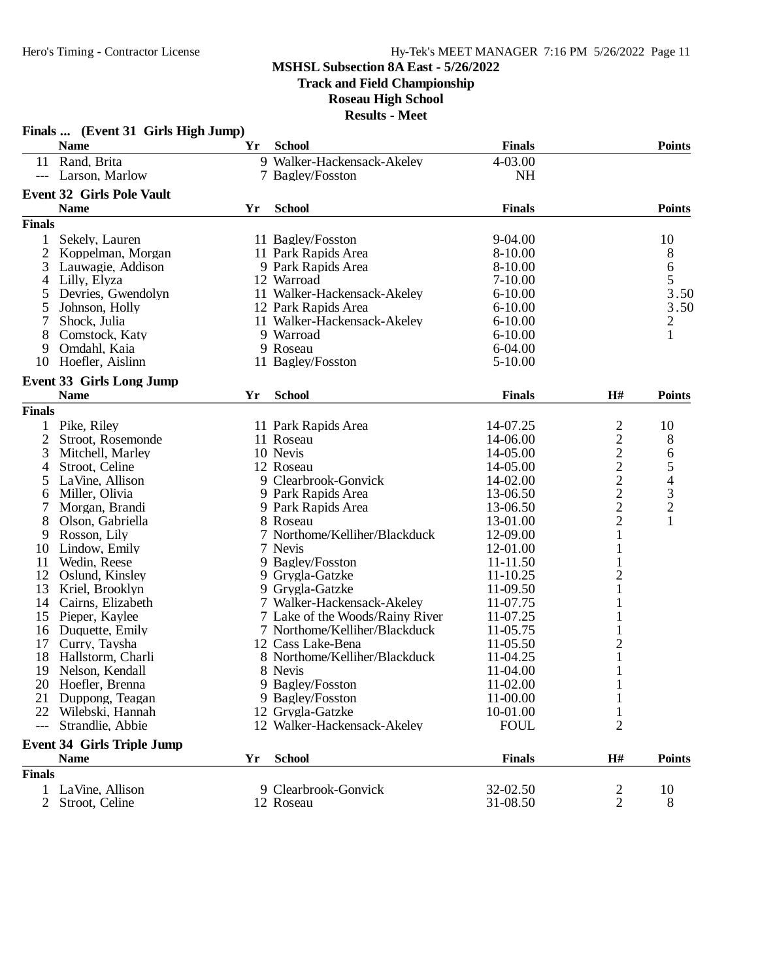**Track and Field Championship**

**Roseau High School**

|                | Finals  (Event 31 Girls High Jump) |    |                                 |               |                |                |
|----------------|------------------------------------|----|---------------------------------|---------------|----------------|----------------|
|                | <b>Name</b>                        | Yr | <b>School</b>                   | <b>Finals</b> |                | <b>Points</b>  |
|                | 11 Rand, Brita                     |    | 9 Walker-Hackensack-Akeley      | 4-03.00       |                |                |
|                | --- Larson, Marlow                 |    | 7 Bagley/Fosston                | <b>NH</b>     |                |                |
|                | <b>Event 32 Girls Pole Vault</b>   |    |                                 |               |                |                |
|                | <b>Name</b>                        | Yr | <b>School</b>                   | <b>Finals</b> |                | <b>Points</b>  |
| <b>Finals</b>  |                                    |    |                                 |               |                |                |
| 1              | Sekely, Lauren                     |    | 11 Bagley/Fosston               | 9-04.00       |                | 10             |
| $\overline{2}$ | Koppelman, Morgan                  |    | 11 Park Rapids Area             | 8-10.00       |                | 8              |
| 3              | Lauwagie, Addison                  |    | 9 Park Rapids Area              | 8-10.00       |                | 6              |
| 4              | Lilly, Elyza                       |    | 12 Warroad                      | $7 - 10.00$   |                | 5              |
| 5              | Devries, Gwendolyn                 |    | 11 Walker-Hackensack-Akeley     | $6 - 10.00$   |                | 3.50           |
| 5              | Johnson, Holly                     |    | 12 Park Rapids Area             | $6 - 10.00$   |                | 3.50           |
| 7              | Shock, Julia                       |    | 11 Walker-Hackensack-Akeley     | $6 - 10.00$   |                | $\overline{c}$ |
| 8              | Comstock, Katy                     |    | 9 Warroad                       | $6 - 10.00$   |                | 1              |
| 9              | Omdahl, Kaia                       |    | 9 Roseau                        | $6-04.00$     |                |                |
| 10             | Hoefler, Aislinn                   |    | 11 Bagley/Fosston               | $5 - 10.00$   |                |                |
|                | <b>Event 33 Girls Long Jump</b>    |    |                                 |               |                |                |
|                | <b>Name</b>                        | Yr | <b>School</b>                   | <b>Finals</b> | H#             | <b>Points</b>  |
| <b>Finals</b>  |                                    |    |                                 |               |                |                |
| 1              | Pike, Riley                        |    | 11 Park Rapids Area             | 14-07.25      | 2              | 10             |
| $\overline{c}$ | Stroot, Rosemonde                  |    | 11 Roseau                       | 14-06.00      | $\overline{c}$ | 8              |
| 3              | Mitchell, Marley                   |    | 10 Nevis                        | 14-05.00      |                | 6              |
| 4              | Stroot, Celine                     |    | 12 Roseau                       | 14-05.00      | $\frac{2}{2}$  |                |
| 5              | LaVine, Allison                    |    | 9 Clearbrook-Gonvick            | 14-02.00      |                | $\frac{5}{4}$  |
| 6              | Miller, Olivia                     |    | 9 Park Rapids Area              | 13-06.50      | $\overline{c}$ |                |
| 7              | Morgan, Brandi                     |    | 9 Park Rapids Area              | 13-06.50      | $\overline{c}$ | $\frac{3}{2}$  |
| 8              | Olson, Gabriella                   |    | 8 Roseau                        | 13-01.00      | $\overline{c}$ | $\mathbf{1}$   |
| 9              | Rosson, Lily                       |    | 7 Northome/Kelliher/Blackduck   | 12-09.00      | 1              |                |
| 10             | Lindow, Emily                      |    | 7 Nevis                         | 12-01.00      |                |                |
| 11             | Wedin, Reese                       |    | 9 Bagley/Fosston                | 11-11.50      |                |                |
| 12             | Oslund, Kinsley                    |    | 9 Grygla-Gatzke                 | 11-10.25      | $\overline{c}$ |                |
| 13             | Kriel, Brooklyn                    |    | 9 Grygla-Gatzke                 | 11-09.50      | 1              |                |
| 14             | Cairns, Elizabeth                  |    | 7 Walker-Hackensack-Akeley      | 11-07.75      |                |                |
| 15             | Pieper, Kaylee                     |    | 7 Lake of the Woods/Rainy River | 11-07.25      |                |                |
| 16             | Duquette, Emily                    |    | 7 Northome/Kelliher/Blackduck   | 11-05.75      |                |                |
| 17             | Curry, Taysha                      |    | 12 Cass Lake-Bena               | 11-05.50      | $\overline{c}$ |                |
| 18             | Hallstorm, Charli                  |    | 8 Northome/Kelliher/Blackduck   | 11-04.25      | $\mathbf{1}$   |                |
| 19             | Nelson, Kendall                    |    | 8 Nevis                         | 11-04.00      | 1              |                |
| 20             | Hoefler, Brenna                    |    | 9 Bagley/Fosston                | 11-02.00      |                |                |
| 21             | Duppong, Teagan                    |    | 9 Bagley/Fosston                | 11-00.00      |                |                |
| 22             | Wilebski, Hannah                   |    | 12 Grygla-Gatzke                | 10-01.00      |                |                |
| $---$          | Strandlie, Abbie                   |    | 12 Walker-Hackensack-Akeley     | <b>FOUL</b>   | $\overline{2}$ |                |
|                | <b>Event 34 Girls Triple Jump</b>  |    |                                 |               |                |                |
|                | <b>Name</b>                        | Yr | <b>School</b>                   | <b>Finals</b> | H#             | <b>Points</b>  |
| <b>Finals</b>  |                                    |    |                                 |               |                |                |
| 1              | LaVine, Allison                    |    | 9 Clearbrook-Gonvick            | 32-02.50      | 2              | 10             |
| 2              | Stroot, Celine                     |    | 12 Roseau                       | 31-08.50      | $\overline{2}$ | 8              |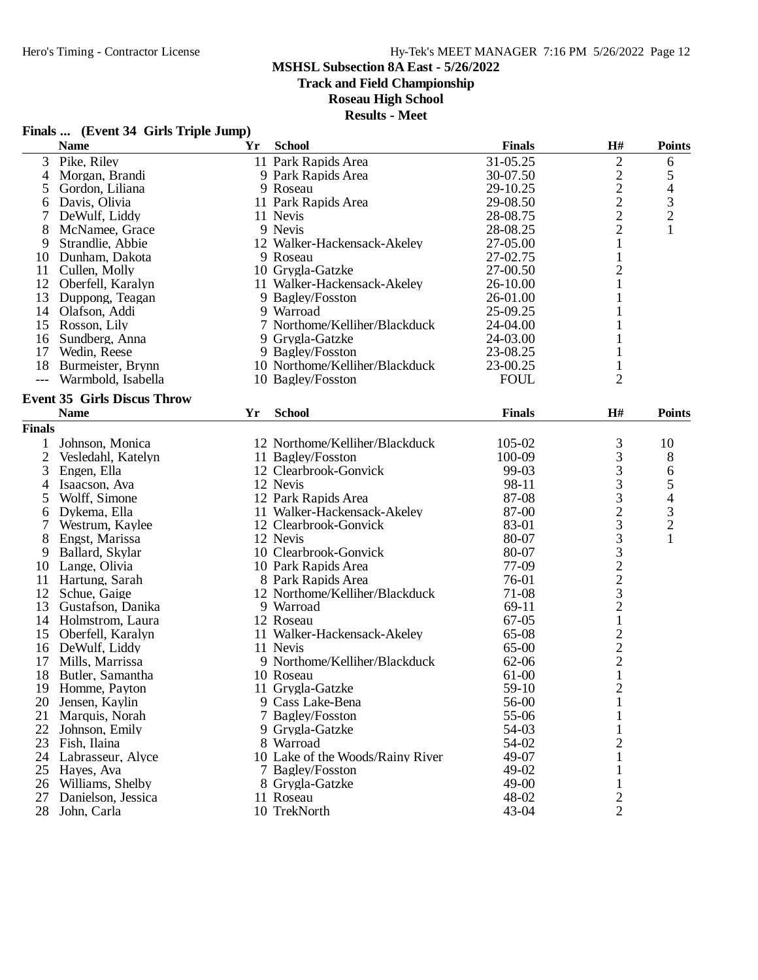## Hero's Timing - Contractor License Hy-Tek's MEET MANAGER 7:16 PM 5/26/2022 Page 12

## **MSHSL Subsection 8A East - 5/26/2022**

**Track and Field Championship**

### **Roseau High School**

|      | Finals  (Event 34 Girls Triple Jump) |           |
|------|--------------------------------------|-----------|
| Nomo |                                      | Vr School |

|                | $\mathbf{r}$ mas $\mathbf{m}$ (EVCIR $\mathbf{r}$ on is Tripic sump)<br><b>Name</b> | Yr | <b>School</b>                    | <b>Finals</b> | H#                                              | <b>Points</b>               |
|----------------|-------------------------------------------------------------------------------------|----|----------------------------------|---------------|-------------------------------------------------|-----------------------------|
|                | 3 Pike, Riley                                                                       |    | 11 Park Rapids Area              | 31-05.25      | $\mathbf{2}$                                    | 6                           |
| 4              | Morgan, Brandi                                                                      |    | 9 Park Rapids Area               | 30-07.50      | $\overline{c}$                                  | $\mathfrak s$               |
| 5              | Gordon, Liliana                                                                     |    | 9 Roseau                         | 29-10.25      | $\overline{c}$                                  | 4                           |
| 6              | Davis, Olivia                                                                       |    | 11 Park Rapids Area              | 29-08.50      | $\mathbf{2}$                                    | $\overline{\mathbf{3}}$     |
| 7              | DeWulf, Liddy                                                                       |    | 11 Nevis                         | 28-08.75      | $\overline{2}$                                  | $\overline{c}$              |
| 8              | McNamee, Grace                                                                      |    | 9 Nevis                          | 28-08.25      | $\overline{2}$                                  | $\mathbf{1}$                |
| 9              | Strandlie, Abbie                                                                    |    | 12 Walker-Hackensack-Akeley      | 27-05.00      | 1                                               |                             |
| 10             | Dunham, Dakota                                                                      |    | 9 Roseau                         | 27-02.75      | 1                                               |                             |
| 11             | Cullen, Molly                                                                       |    | 10 Grygla-Gatzke                 | 27-00.50      | 2                                               |                             |
|                | 12 Oberfell, Karalyn                                                                |    | 11 Walker-Hackensack-Akeley      | 26-10.00      | 1                                               |                             |
| 13             | Duppong, Teagan                                                                     |    | 9 Bagley/Fosston                 | 26-01.00      |                                                 |                             |
|                | 14 Olafson, Addi                                                                    |    | 9 Warroad                        | 25-09.25      |                                                 |                             |
|                | 15 Rosson, Lily                                                                     |    | 7 Northome/Kelliher/Blackduck    | 24-04.00      |                                                 |                             |
| 16             | Sundberg, Anna                                                                      |    | 9 Grygla-Gatzke                  | 24-03.00      |                                                 |                             |
| 17             | Wedin, Reese                                                                        |    | 9 Bagley/Fosston                 | 23-08.25      |                                                 |                             |
|                | 18 Burmeister, Brynn                                                                |    | 10 Northome/Kelliher/Blackduck   | 23-00.25      | 1                                               |                             |
|                |                                                                                     |    | 10 Bagley/Fosston                |               | $\overline{2}$                                  |                             |
| $---$          | Warmbold, Isabella                                                                  |    |                                  | <b>FOUL</b>   |                                                 |                             |
|                | <b>Event 35 Girls Discus Throw</b>                                                  |    |                                  |               |                                                 |                             |
|                | <b>Name</b>                                                                         | Yr | <b>School</b>                    | <b>Finals</b> | H#                                              | <b>Points</b>               |
| <b>Finals</b>  |                                                                                     |    |                                  |               |                                                 |                             |
| 1              | Johnson, Monica                                                                     |    | 12 Northome/Kelliher/Blackduck   | 105-02        | 3                                               | 10                          |
| $\overline{2}$ | Vesledahl, Katelyn                                                                  |    | 11 Bagley/Fosston                | 100-09        | 3                                               | 8                           |
| 3              | Engen, Ella                                                                         |    | 12 Clearbrook-Gonvick            | 99-03         | 3                                               | 6                           |
| 4              | Isaacson, Ava                                                                       |    | 12 Nevis                         | 98-11         | 3                                               | 5                           |
| 5              | Wolff, Simone                                                                       |    | 12 Park Rapids Area              | 87-08         | 3                                               | $\overline{4}$              |
| 6              | Dykema, Ella                                                                        |    | 11 Walker-Hackensack-Akeley      | 87-00         | $\overline{c}$                                  | $\ensuremath{\mathfrak{Z}}$ |
| 7              | Westrum, Kaylee                                                                     |    | 12 Clearbrook-Gonvick            | 83-01         | 3                                               | $\overline{c}$              |
| 8              | Engst, Marissa                                                                      |    | 12 Nevis                         | 80-07         | 3                                               | 1                           |
| 9              | Ballard, Skylar                                                                     |    | 10 Clearbrook-Gonvick            | 80-07         | 3                                               |                             |
| 10             | Lange, Olivia                                                                       |    | 10 Park Rapids Area              | 77-09         |                                                 |                             |
| 11             | Hartung, Sarah                                                                      |    | 8 Park Rapids Area               | 76-01         | $\frac{2}{2}$                                   |                             |
| 12             | Schue, Gaige                                                                        |    | 12 Northome/Kelliher/Blackduck   | 71-08         | 3                                               |                             |
| 13             | Gustafson, Danika                                                                   |    | 9 Warroad                        | 69-11         | $\overline{c}$                                  |                             |
|                | 14 Holmstrom, Laura                                                                 |    | 12 Roseau                        | $67-05$       | $\mathbf{1}$                                    |                             |
|                | 15 Oberfell, Karalyn                                                                |    | 11 Walker-Hackensack-Akeley      | 65-08         |                                                 |                             |
|                | 16 DeWulf, Liddy                                                                    |    | 11 Nevis                         | 65-00         |                                                 |                             |
| 17             | Mills, Marrissa                                                                     |    | 9 Northome/Kelliher/Blackduck    | 62-06         | $\begin{array}{c} 2 \\ 2 \\ 2 \\ 1 \end{array}$ |                             |
| 18             | Butler, Samantha                                                                    |    | 10 Roseau                        | 61-00         |                                                 |                             |
|                | 19 Homme, Payton                                                                    |    | 11 Grygla-Gatzke                 | 59-10         | $\overline{c}$                                  |                             |
| 20             | Jensen, Kaylin                                                                      |    | 9 Cass Lake-Bena                 | 56-00         | 1                                               |                             |
| 21             | Marquis, Norah                                                                      |    | 7 Bagley/Fosston                 | 55-06         |                                                 |                             |
| 22             | Johnson, Emily                                                                      |    | 9 Grygla-Gatzke                  | 54-03         |                                                 |                             |
| 23             | Fish, Ilaina                                                                        |    | 8 Warroad                        | 54-02         | $\overline{2}$                                  |                             |
| 24             | Labrasseur, Alyce                                                                   |    | 10 Lake of the Woods/Rainy River | 49-07         |                                                 |                             |
|                |                                                                                     |    |                                  | 49-02         | 1                                               |                             |
| 25             | Hayes, Ava                                                                          |    | 7 Bagley/Fosston                 | 49-00         |                                                 |                             |
|                | 26 Williams, Shelby                                                                 |    | 8 Grygla-Gatzke                  |               |                                                 |                             |
| 27             | Danielson, Jessica                                                                  |    | 11 Roseau                        | 48-02         | 2                                               |                             |
| 28             | John, Carla                                                                         |    | 10 TrekNorth                     | 43-04         | $\overline{2}$                                  |                             |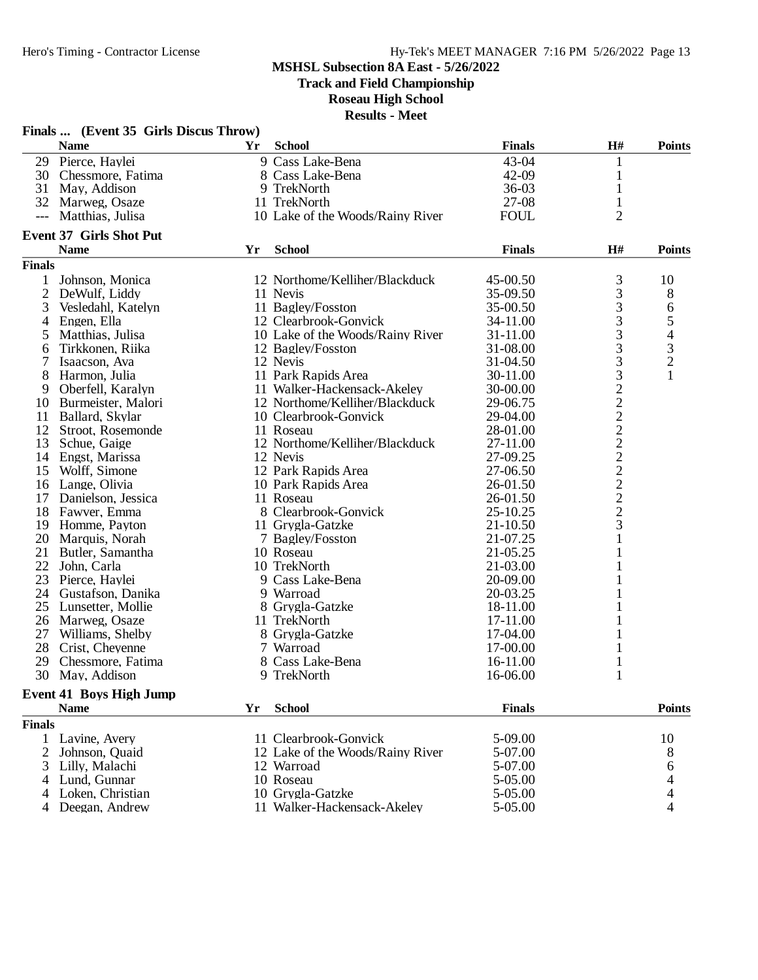**Track and Field Championship**

**Roseau High School**

**Results - Meet**

|                | Finals  (Event 35 Girls Discus Throw) |    |                                  |               |                             |                          |
|----------------|---------------------------------------|----|----------------------------------|---------------|-----------------------------|--------------------------|
|                | <b>Name</b>                           | Yr | <b>School</b>                    | <b>Finals</b> | H#                          | <b>Points</b>            |
| 29             | Pierce, Haylei                        |    | 9 Cass Lake-Bena                 | 43-04         | 1                           |                          |
|                | 30 Chessmore, Fatima                  |    | 8 Cass Lake-Bena                 | 42-09         | 1                           |                          |
| 31             | May, Addison                          |    | 9 TrekNorth                      | $36-03$       | 1                           |                          |
|                | 32 Marweg, Osaze                      |    | 11 TrekNorth                     | $27-08$       | $\mathbf{1}$                |                          |
| $---$          | Matthias, Julisa                      |    | 10 Lake of the Woods/Rainy River | <b>FOUL</b>   | $\overline{2}$              |                          |
|                | <b>Event 37 Girls Shot Put</b>        |    |                                  |               |                             |                          |
|                | <b>Name</b>                           | Yr | <b>School</b>                    | <b>Finals</b> | H#                          | <b>Points</b>            |
| <b>Finals</b>  |                                       |    |                                  |               |                             |                          |
| 1              | Johnson, Monica                       |    | 12 Northome/Kelliher/Blackduck   | 45-00.50      | 3                           | 10                       |
| $\overline{2}$ | DeWulf, Liddy                         |    | 11 Nevis                         | 35-09.50      | 3                           | 8                        |
| 3              | Vesledahl, Katelyn                    |    | 11 Bagley/Fosston                | 35-00.50      | 3                           | 6                        |
| 4              | Engen, Ella                           |    | 12 Clearbrook-Gonvick            | 34-11.00      | 3                           | 5                        |
| 5              | Matthias, Julisa                      |    | 10 Lake of the Woods/Rainy River | 31-11.00      | 3                           | $\overline{\mathcal{L}}$ |
| 6              | Tirkkonen, Riika                      |    | 12 Bagley/Fosston                | 31-08.00      | 3                           | $\frac{3}{2}$            |
|                | Isaacson, Ava                         |    | 12 Nevis                         | 31-04.50      | 3                           |                          |
| 8              | Harmon, Julia                         |    | 11 Park Rapids Area              | 30-11.00      | 3                           | 1                        |
| 9              | Oberfell, Karalyn                     |    | 11 Walker-Hackensack-Akeley      | 30-00.00      | $\overline{c}$              |                          |
| 10             | Burmeister, Malori                    |    | 12 Northome/Kelliher/Blackduck   | 29-06.75      | $\overline{c}$              |                          |
| 11             | Ballard, Skylar                       |    | 10 Clearbrook-Gonvick            | 29-04.00      |                             |                          |
| 12             | Stroot, Rosemonde                     |    | 11 Roseau                        | 28-01.00      | $\frac{2}{2}$               |                          |
| 13             | Schue, Gaige                          |    | 12 Northome/Kelliher/Blackduck   | 27-11.00      |                             |                          |
| 14             | Engst, Marissa                        |    | 12 Nevis                         | 27-09.25      |                             |                          |
| 15             | Wolff, Simone                         |    | 12 Park Rapids Area              | 27-06.50      | $\frac{2}{2}$ $\frac{2}{2}$ |                          |
| 16             | Lange, Olivia                         |    | 10 Park Rapids Area              | 26-01.50      |                             |                          |
| 17             | Danielson, Jessica                    |    | 11 Roseau                        | 26-01.50      |                             |                          |
| 18             | Fawver, Emma                          |    | 8 Clearbrook-Gonvick             | 25-10.25      |                             |                          |
| 19             | Homme, Payton                         |    | 11 Grygla-Gatzke                 | $21 - 10.50$  | 3                           |                          |
| 20             | Marquis, Norah                        |    | 7 Bagley/Fosston                 | 21-07.25      | 1                           |                          |
| 21             | Butler, Samantha                      |    | 10 Roseau                        | 21-05.25      |                             |                          |
| 22             | John, Carla                           |    | 10 TrekNorth                     | 21-03.00      |                             |                          |
| 23             | Pierce, Haylei                        |    | 9 Cass Lake-Bena                 | 20-09.00      |                             |                          |
| 24             | Gustafson, Danika                     |    | 9 Warroad                        | 20-03.25      |                             |                          |
| 25             | Lunsetter, Mollie                     |    | 8 Grygla-Gatzke                  | 18-11.00      |                             |                          |
| 26             | Marweg, Osaze                         |    | 11 TrekNorth                     | 17-11.00      |                             |                          |
| 27             |                                       |    |                                  | 17-04.00      |                             |                          |
|                | Williams, Shelby                      |    | 8 Grygla-Gatzke                  |               |                             |                          |
| 28             | Crist, Cheyenne                       |    | 7 Warroad                        | 17-00.00      |                             |                          |
| 29             | Chessmore, Fatima                     |    | 8 Cass Lake-Bena                 | 16-11.00      |                             |                          |
|                | 30 May, Addison                       |    | 9 TrekNorth                      | 16-06.00      |                             |                          |
|                | <b>Event 41 Boys High Jump</b>        |    |                                  |               |                             |                          |
|                | <b>Name</b>                           | Yr | <b>School</b>                    | <b>Finals</b> |                             | <b>Points</b>            |
| <b>Finals</b>  |                                       |    |                                  |               |                             |                          |
| 1              | Lavine, Avery                         |    | 11 Clearbrook-Gonvick            | 5-09.00       |                             | 10                       |
| 2              | Johnson, Quaid                        |    | 12 Lake of the Woods/Rainy River | 5-07.00       |                             | 8                        |
| 3              | Lilly, Malachi                        |    | 12 Warroad                       | 5-07.00       |                             | 6                        |
| 4              | Lund, Gunnar                          |    | 10 Roseau                        | 5-05.00       |                             | 4                        |
| 4              | Loken, Christian                      |    | 10 Grygla-Gatzke                 | 5-05.00       |                             | 4                        |
| 4              | Deegan, Andrew                        |    | 11 Walker-Hackensack-Akeley      | 5-05.00       |                             | 4                        |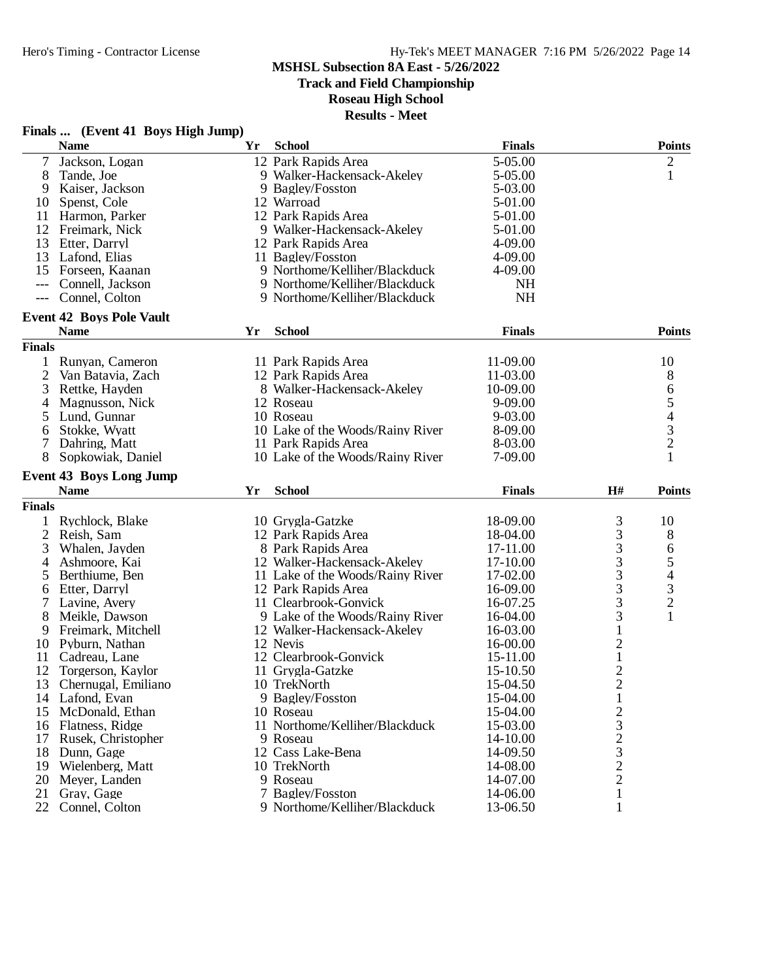**Track and Field Championship**

**Roseau High School**

| Finals  (Event 41 Boys High Jump) |  |
|-----------------------------------|--|
|-----------------------------------|--|

|                | <b>Name</b>                     | Yr | <b>School</b>                    | <b>Finals</b> |                | <b>Points</b>            |
|----------------|---------------------------------|----|----------------------------------|---------------|----------------|--------------------------|
| 7              | Jackson, Logan                  |    | 12 Park Rapids Area              | 5-05.00       |                | $\overline{c}$           |
| 8              | Tande, Joe                      |    | 9 Walker-Hackensack-Akeley       | 5-05.00       |                | $\mathbf{1}$             |
| 9              | Kaiser, Jackson                 |    | 9 Bagley/Fosston                 | 5-03.00       |                |                          |
| 10             | Spenst, Cole                    |    | 12 Warroad                       | 5-01.00       |                |                          |
| 11             | Harmon, Parker                  |    | 12 Park Rapids Area              | 5-01.00       |                |                          |
| 12             | Freimark, Nick                  |    | 9 Walker-Hackensack-Akeley       | 5-01.00       |                |                          |
| 13             | Etter, Darryl                   |    | 12 Park Rapids Area              | 4-09.00       |                |                          |
| 13             | Lafond, Elias                   |    | 11 Bagley/Fosston                | 4-09.00       |                |                          |
| 15             | Forseen, Kaanan                 |    | 9 Northome/Kelliher/Blackduck    | 4-09.00       |                |                          |
| $---$          | Connell, Jackson                |    | 9 Northome/Kelliher/Blackduck    | <b>NH</b>     |                |                          |
| $---$          | Connel, Colton                  |    | 9 Northome/Kelliher/Blackduck    | <b>NH</b>     |                |                          |
|                | <b>Event 42 Boys Pole Vault</b> |    |                                  |               |                |                          |
|                | <b>Name</b>                     | Yr | <b>School</b>                    | <b>Finals</b> |                | <b>Points</b>            |
| <b>Finals</b>  |                                 |    |                                  |               |                |                          |
| 1              | Runyan, Cameron                 |    | 11 Park Rapids Area              | 11-09.00      |                | 10                       |
| $\overline{2}$ | Van Batavia, Zach               |    | 12 Park Rapids Area              | 11-03.00      |                | 8                        |
| 3              | Rettke, Hayden                  |    | 8 Walker-Hackensack-Akeley       | 10-09.00      |                | 6                        |
| 4              | Magnusson, Nick                 |    | 12 Roseau                        | 9-09.00       |                | 5                        |
| 5              | Lund, Gunnar                    |    | 10 Roseau                        | 9-03.00       |                |                          |
| 6              | Stokke, Wyatt                   |    | 10 Lake of the Woods/Rainy River | 8-09.00       |                | $rac{4}{3}$              |
|                | Dahring, Matt                   |    | 11 Park Rapids Area              | 8-03.00       |                | $\overline{c}$           |
| 8              | Sopkowiak, Daniel               |    | 10 Lake of the Woods/Rainy River | 7-09.00       |                |                          |
|                | <b>Event 43 Boys Long Jump</b>  |    |                                  |               |                |                          |
|                | <b>Name</b>                     | Yr | <b>School</b>                    | <b>Finals</b> | H#             | <b>Points</b>            |
| <b>Finals</b>  |                                 |    |                                  |               |                |                          |
|                | Rychlock, Blake                 |    | 10 Grygla-Gatzke                 | 18-09.00      | 3              | 10                       |
| $\overline{c}$ | Reish, Sam                      |    | 12 Park Rapids Area              | 18-04.00      | 3              | 8                        |
| 3              | Whalen, Jayden                  |    | 8 Park Rapids Area               | 17-11.00      | 3              | 6                        |
| 4              | Ashmoore, Kai                   |    | 12 Walker-Hackensack-Akeley      | 17-10.00      | 3              | 5                        |
| 5              | Berthiume, Ben                  |    | 11 Lake of the Woods/Rainy River | 17-02.00      | 3              | $\overline{\mathcal{L}}$ |
| 6              | Etter, Darryl                   |    | 12 Park Rapids Area              | 16-09.00      | 3              |                          |
| 7              | Lavine, Avery                   |    | 11 Clearbrook-Gonvick            | 16-07.25      | 3              | $\frac{3}{2}$            |
| 8              | Meikle, Dawson                  |    | 9 Lake of the Woods/Rainy River  | 16-04.00      | 3              | 1                        |
| 9              | Freimark, Mitchell              |    | 12 Walker-Hackensack-Akeley      | 16-03.00      | $\mathbf{1}$   |                          |
| 10             | Pyburn, Nathan                  |    | 12 Nevis                         | 16-00.00      | $\overline{c}$ |                          |
| 11             | Cadreau, Lane                   |    | 12 Clearbrook-Gonvick            | 15-11.00      | $\mathbf 1$    |                          |
| 12             | Torgerson, Kaylor               |    | 11 Grygla-Gatzke                 | 15-10.50      | $\overline{c}$ |                          |
| 13             | Chernugal, Emiliano             |    | 10 TrekNorth                     | 15-04.50      | $\overline{c}$ |                          |
| 14             | Lafond, Evan                    |    | 9 Bagley/Fosston                 | 15-04.00      | $\mathbf{1}$   |                          |
| 15             | McDonald, Ethan                 |    | 10 Roseau                        | 15-04.00      |                |                          |
| 16             | Flatness, Ridge                 |    | 11 Northome/Kelliher/Blackduck   | 15-03.00      | $\frac{2}{3}$  |                          |
| 17             | Rusek, Christopher              |    | 9 Roseau                         | 14-10.00      |                |                          |
| 18             | Dunn, Gage                      |    | 12 Cass Lake-Bena                | 14-09.50      | $\frac{2}{3}$  |                          |
| 19             | Wielenberg, Matt                |    | 10 TrekNorth                     | 14-08.00      |                |                          |
| 20             | Meyer, Landen                   |    | 9 Roseau                         | 14-07.00      | $\frac{2}{2}$  |                          |
| 21             | Gray, Gage                      |    | 7 Bagley/Fosston                 | 14-06.00      | $\mathbf{1}$   |                          |
| 22             | Connel, Colton                  |    | 9 Northome/Kelliher/Blackduck    | 13-06.50      | 1              |                          |
|                |                                 |    |                                  |               |                |                          |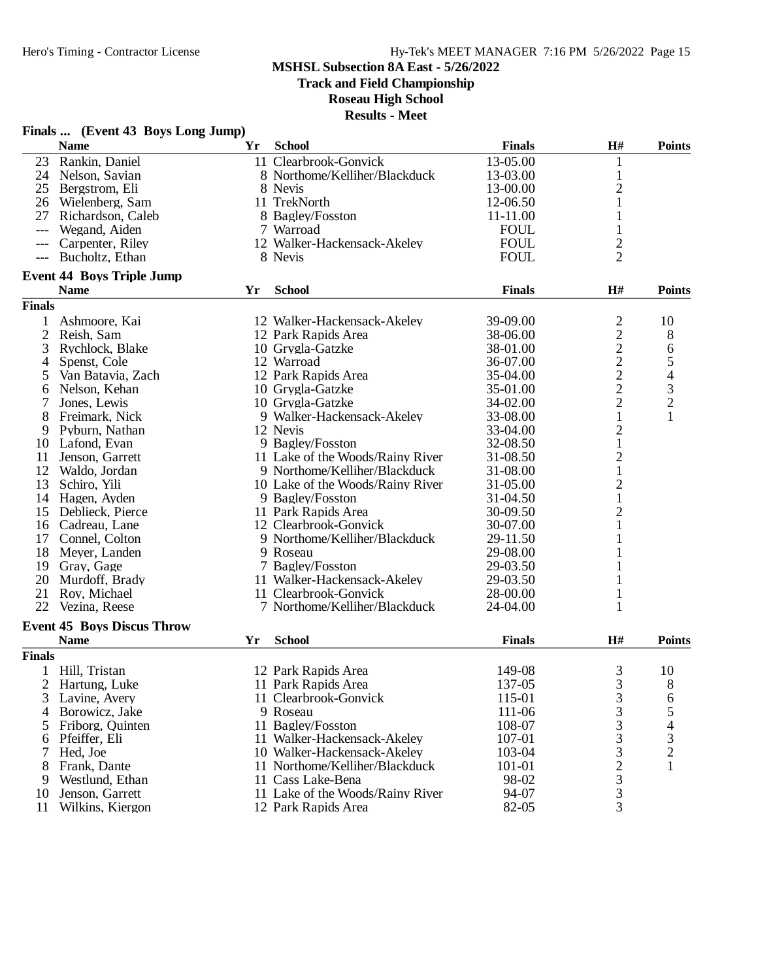**Track and Field Championship**

**Roseau High School**

|                | Finals  (Event 43 Boys Long Jump)                |    |                                  |               |                                            |               |
|----------------|--------------------------------------------------|----|----------------------------------|---------------|--------------------------------------------|---------------|
|                | <b>Name</b>                                      | Yr | <b>School</b>                    | <b>Finals</b> | H#                                         | <b>Points</b> |
| 23             | Rankin, Daniel                                   |    | 11 Clearbrook-Gonvick            | 13-05.00      | 1                                          |               |
| 24             | Nelson, Savian                                   |    | 8 Northome/Kelliher/Blackduck    | 13-03.00      | $\mathbf{1}$                               |               |
| 25             | Bergstrom, Eli                                   |    | 8 Nevis                          | 13-00.00      | $\overline{2}$                             |               |
|                | 26 Wielenberg, Sam                               |    | 11 TrekNorth                     | 12-06.50      | $\mathbf{1}$                               |               |
| 27             | Richardson, Caleb                                |    | 8 Bagley/Fosston                 | 11-11.00      | 1                                          |               |
| ---            | Wegand, Aiden                                    |    | 7 Warroad                        | <b>FOUL</b>   | 1                                          |               |
| $---$          | Carpenter, Riley                                 |    | 12 Walker-Hackensack-Akeley      | <b>FOUL</b>   | $\overline{c}$                             |               |
| $---$          | Bucholtz, Ethan                                  |    | 8 Nevis                          | <b>FOUL</b>   | $\overline{2}$                             |               |
|                | <b>Event 44 Boys Triple Jump</b>                 |    |                                  |               |                                            |               |
|                | <b>Name</b>                                      | Yr | <b>School</b>                    | <b>Finals</b> | H#                                         | <b>Points</b> |
| <b>Finals</b>  |                                                  |    |                                  |               |                                            |               |
| 1              | Ashmoore, Kai                                    |    | 12 Walker-Hackensack-Akeley      | 39-09.00      | $\overline{c}$                             | 10            |
| $\mathfrak{2}$ | Reish, Sam                                       |    | 12 Park Rapids Area              | 38-06.00      | $\overline{\mathbf{c}}$                    | 8             |
| 3              | Rychlock, Blake                                  |    | 10 Grygla-Gatzke                 | 38-01.00      |                                            | 6             |
| 4              | Spenst, Cole                                     |    | 12 Warroad                       | 36-07.00      |                                            |               |
| 5              | Van Batavia, Zach                                |    | 12 Park Rapids Area              | 35-04.00      | $\begin{array}{c} 2 \\ 2 \\ 2 \end{array}$ | $\frac{5}{4}$ |
| 6              | Nelson, Kehan                                    |    | 10 Grygla-Gatzke                 | 35-01.00      |                                            |               |
| 7              | Jones, Lewis                                     |    | 10 Grygla-Gatzke                 | 34-02.00      | $\overline{c}$                             | $\frac{3}{2}$ |
| 8              | Freimark, Nick                                   |    | 9 Walker-Hackensack-Akeley       | 33-08.00      | $\mathbf{1}$                               | $\mathbf{1}$  |
| 9              | Pyburn, Nathan                                   |    | 12 Nevis                         | 33-04.00      | $\overline{c}$                             |               |
| 10             | Lafond, Evan                                     |    | 9 Bagley/Fosston                 | 32-08.50      | $\mathbf{1}$                               |               |
| 11             | Jenson, Garrett                                  |    | 11 Lake of the Woods/Rainy River | 31-08.50      | $\overline{c}$                             |               |
| 12             | Waldo, Jordan                                    |    | 9 Northome/Kelliher/Blackduck    | 31-08.00      | $\mathbf 1$                                |               |
| 13             | Schiro, Yili                                     |    | 10 Lake of the Woods/Rainy River | 31-05.00      | $\overline{\mathbf{c}}$                    |               |
| 14             | Hagen, Ayden                                     |    | 9 Bagley/Fosston                 | 31-04.50      | $\mathbf{1}$                               |               |
| 15             | Deblieck, Pierce                                 |    | 11 Park Rapids Area              | 30-09.50      | $\overline{c}$                             |               |
| 16             | Cadreau, Lane                                    |    | 12 Clearbrook-Gonvick            | 30-07.00      | 1                                          |               |
| 17             | Connel, Colton                                   |    | 9 Northome/Kelliher/Blackduck    | 29-11.50      |                                            |               |
| 18             | Meyer, Landen                                    |    | 9 Roseau                         | 29-08.00      |                                            |               |
| 19             | Gray, Gage                                       |    | 7 Bagley/Fosston                 | 29-03.50      | 1                                          |               |
| 20             | Murdoff, Brady                                   |    | 11 Walker-Hackensack-Akeley      | 29-03.50      | 1                                          |               |
| 21             | Roy, Michael                                     |    | 11 Clearbrook-Gonvick            | 28-00.00      | $\mathbf{1}$                               |               |
| 22             | Vezina, Reese                                    |    | 7 Northome/Kelliher/Blackduck    | 24-04.00      | 1                                          |               |
|                |                                                  |    |                                  |               |                                            |               |
|                | <b>Event 45 Boys Discus Throw</b><br><b>Name</b> | Yr | <b>School</b>                    | <b>Finals</b> | H#                                         | <b>Points</b> |
|                |                                                  |    |                                  |               |                                            |               |
| <b>Finals</b>  |                                                  |    |                                  |               |                                            |               |
|                | Hill, Tristan                                    |    | 12 Park Rapids Area              | 149-08        | 3                                          | 10            |
| 2              | Hartung, Luke                                    |    | 11 Park Rapids Area              | 137-05        | 3                                          | 8             |
| 3              | Lavine, Avery                                    |    | 11 Clearbrook-Gonvick            | 115-01        | 3                                          | 6             |
| 4              | Borowicz, Jake                                   |    | 9 Roseau                         | 111-06        | 3                                          | 5<br>4        |
| 5              | Friborg, Quinten                                 |    | 11 Bagley/Fosston                | 108-07        | 3                                          |               |
| 6              | Pfeiffer, Eli                                    |    | 11 Walker-Hackensack-Akeley      | 107-01        | 3                                          | $\frac{3}{2}$ |
| 7              | Hed, Joe                                         |    | 10 Walker-Hackensack-Akeley      | 103-04        | 3                                          |               |
| 8              | Frank, Dante                                     |    | 11 Northome/Kelliher/Blackduck   | 101-01        | $\overline{c}$                             | 1             |
| 9              | Westlund, Ethan                                  |    | 11 Cass Lake-Bena                | 98-02         | 3                                          |               |
| 10             | Jenson, Garrett                                  |    | 11 Lake of the Woods/Rainy River | 94-07         | 3                                          |               |
| 11             | Wilkins, Kiergon                                 |    | 12 Park Rapids Area              | 82-05         | 3                                          |               |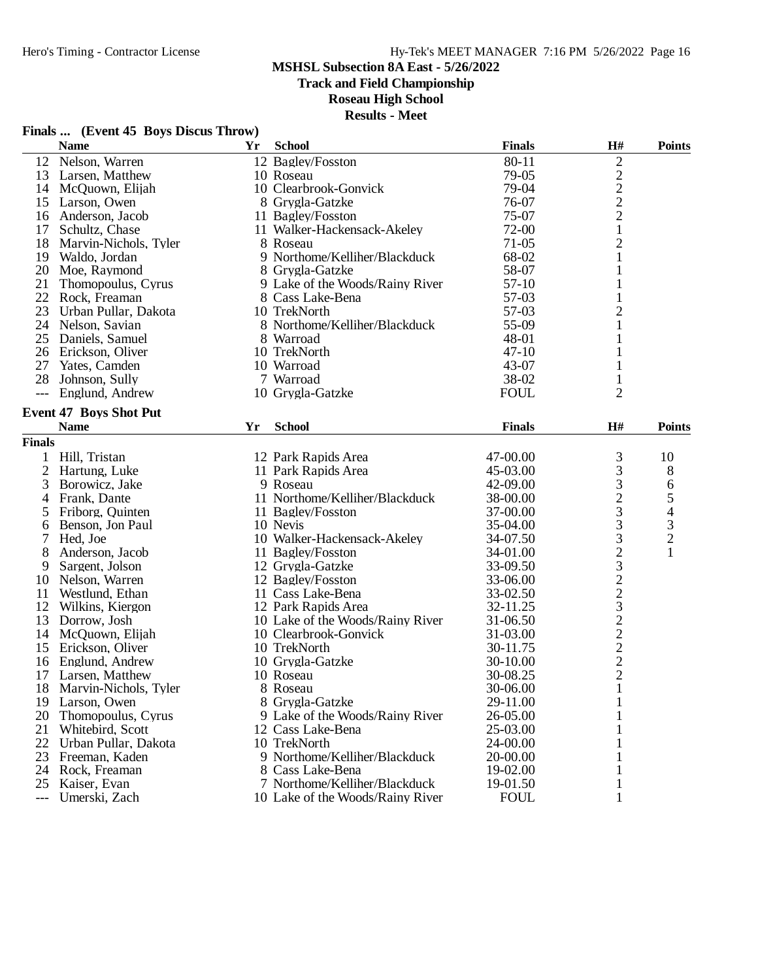## Hero's Timing - Contractor License Hy-Tek's MEET MANAGER 7:16 PM 5/26/2022 Page 16

#### **MSHSL Subsection 8A East - 5/26/2022**

**Track and Field Championship**

### **Roseau High School**

**Results - Meet**

|               | <b>Name</b>                           | Yr | <b>School</b>                                        | <b>Finals</b>        | $\mathbf{H}$ #                                  | <b>Points</b>  |
|---------------|---------------------------------------|----|------------------------------------------------------|----------------------|-------------------------------------------------|----------------|
| 12            | Nelson, Warren                        |    | 12 Bagley/Fosston                                    | 80-11                | $\mathfrak{2}$                                  |                |
|               | 13 Larsen, Matthew                    |    | 10 Roseau                                            | 79-05                |                                                 |                |
| 14            | McQuown, Elijah                       |    | 10 Clearbrook-Gonvick                                | 79-04                | $\begin{array}{c} 2 \\ 2 \\ 2 \\ 1 \end{array}$ |                |
| 15            | Larson, Owen                          |    | 8 Grygla-Gatzke                                      | 76-07                |                                                 |                |
| 16            | Anderson, Jacob                       |    | 11 Bagley/Fosston                                    | 75-07                |                                                 |                |
| 17            | Schultz, Chase                        |    | 11 Walker-Hackensack-Akeley                          | 72-00                |                                                 |                |
| 18            | Marvin-Nichols, Tyler                 |    | 8 Roseau                                             | $71-05$              | $\overline{c}$                                  |                |
|               | 19 Waldo, Jordan                      |    | 9 Northome/Kelliher/Blackduck                        | 68-02                | $\mathbf{1}$                                    |                |
|               | 20 Moe, Raymond                       |    | 8 Grygla-Gatzke                                      | 58-07                | 1                                               |                |
| 21            | Thomopoulus, Cyrus                    |    | 9 Lake of the Woods/Rainy River                      | 57-10                | 1                                               |                |
| 22            | Rock, Freaman                         |    | 8 Cass Lake-Bena                                     | 57-03                |                                                 |                |
| 23            | Urban Pullar, Dakota                  |    | 10 TrekNorth                                         | 57-03                | $\overline{c}$                                  |                |
| 24            | Nelson, Savian                        |    | 8 Northome/Kelliher/Blackduck                        | 55-09                | $\mathbf{1}$                                    |                |
| 25            | Daniels, Samuel                       |    | 8 Warroad                                            | 48-01                | 1                                               |                |
|               | 26 Erickson, Oliver                   |    | 10 TrekNorth                                         | $47 - 10$            | 1                                               |                |
| 27            | Yates, Camden                         |    | 10 Warroad                                           | 43-07                | 1                                               |                |
| 28            | Johnson, Sully                        |    | 7 Warroad                                            | 38-02                |                                                 |                |
| $---$         | Englund, Andrew                       |    | 10 Grygla-Gatzke                                     | <b>FOUL</b>          | $\overline{2}$                                  |                |
|               | <b>Event 47 Boys Shot Put</b>         |    |                                                      |                      |                                                 |                |
|               | <b>Name</b>                           | Yr | <b>School</b>                                        | <b>Finals</b>        | H#                                              | <b>Points</b>  |
| <b>Finals</b> |                                       |    |                                                      |                      |                                                 |                |
| 1             | Hill, Tristan                         |    | 12 Park Rapids Area                                  | 47-00.00             | 3                                               | 10             |
| $\mathbf{2}$  | Hartung, Luke                         |    | 11 Park Rapids Area                                  | 45-03.00             | 3                                               | 8              |
| 3             | Borowicz, Jake                        |    | 9 Roseau                                             | 42-09.00             |                                                 | 6              |
|               | Frank, Dante                          |    | 11 Northome/Kelliher/Blackduck                       | 38-00.00             | $\begin{array}{c} 3 \\ 2 \\ 3 \end{array}$      | 5              |
| 4<br>5        | Friborg, Quinten                      |    | 11 Bagley/Fosston                                    | 37-00.00             |                                                 | 4              |
|               | Benson, Jon Paul                      |    | 10 Nevis                                             | 35-04.00             | 3                                               | 3              |
| 6<br>7        | Hed, Joe                              |    | 10 Walker-Hackensack-Akeley                          | 34-07.50             | 3                                               | $\overline{c}$ |
| 8             | Anderson, Jacob                       |    | 11 Bagley/Fosston                                    | 34-01.00             |                                                 | $\mathbf{1}$   |
|               | Sargent, Jolson                       |    | 12 Grygla-Gatzke                                     | 33-09.50             |                                                 |                |
| 9             |                                       |    |                                                      | 33-06.00             | 23223222                                        |                |
| 10<br>11      | Nelson, Warren<br>Westlund, Ethan     |    | 12 Bagley/Fosston<br>11 Cass Lake-Bena               | 33-02.50             |                                                 |                |
| 12            | Wilkins, Kiergon                      |    | 12 Park Rapids Area                                  | 32-11.25             |                                                 |                |
| 13            |                                       |    | 10 Lake of the Woods/Rainy River                     | 31-06.50             |                                                 |                |
| 14            | Dorrow, Josh<br>McQuown, Elijah       |    | 10 Clearbrook-Gonvick                                | 31-03.00             |                                                 |                |
| 15            | Erickson, Oliver                      |    | 10 TrekNorth                                         | 30-11.75             |                                                 |                |
| 16            | Englund, Andrew                       |    |                                                      | 30-10.00             |                                                 |                |
| 17            |                                       |    | 10 Grygla-Gatzke<br>10 Roseau                        | 30-08.25             |                                                 |                |
|               | Larsen, Matthew                       |    |                                                      |                      | $\mathbf{1}$                                    |                |
| 18            | Marvin-Nichols, Tyler                 |    | 8 Roseau                                             | 30-06.00<br>29-11.00 |                                                 |                |
| 20            | 19 Larson, Owen<br>Thomopoulus, Cyrus |    | 8 Grygla-Gatzke                                      | 26-05.00             | $\mathbf{1}$                                    |                |
| 21            | Whitebird, Scott                      |    | 9 Lake of the Woods/Rainy River<br>12 Cass Lake-Bena | 25-03.00             |                                                 |                |
|               |                                       |    |                                                      |                      |                                                 |                |
| 22            | Urban Pullar, Dakota                  |    | 10 TrekNorth<br>9 Northome/Kelliher/Blackduck        | 24-00.00<br>20-00.00 |                                                 |                |
| 23            | Freeman, Kaden                        |    |                                                      |                      |                                                 |                |
| 24            | Rock, Freaman                         |    | 8 Cass Lake-Bena<br>7 Northome/Kelliher/Blackduck    | 19-02.00             |                                                 |                |
| 25            | Kaiser, Evan                          |    |                                                      | 19-01.50             | 1<br>1                                          |                |
| $---$         | Umerski, Zach                         |    | 10 Lake of the Woods/Rainy River                     | <b>FOUL</b>          |                                                 |                |

## **Finals ... (Event 45 Boys Discus Throw)**